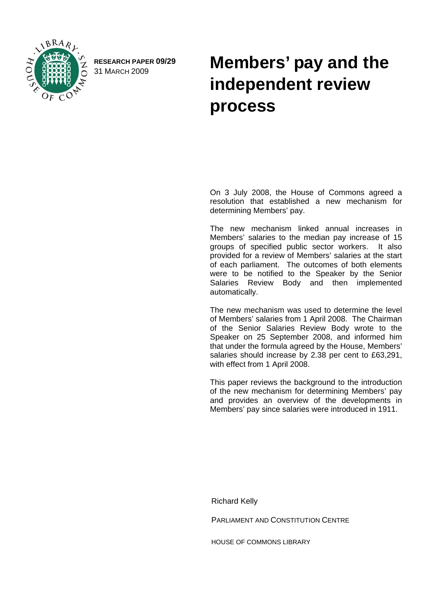

**RESEARCH PAPER 09/29** 

# RESEARCH PAPER 09/29 **Members' pay and the** 31 MARCH 2009 **independent review process**

On 3 July 2008, the House of Commons agreed a resolution that established a new mechanism for determining Members' pay.

The new mechanism linked annual increases in Members' salaries to the median pay increase of 15 groups of specified public sector workers. It also provided for a review of Members' salaries at the start of each parliament. The outcomes of both elements were to be notified to the Speaker by the Senior Salaries Review Body and then implemented automatically.

The new mechanism was used to determine the level of Members' salaries from 1 April 2008. The Chairman of the Senior Salaries Review Body wrote to the Speaker on 25 September 2008, and informed him that under the formula agreed by the House, Members' salaries should increase by 2.38 per cent to £63,291, with effect from 1 April 2008.

This paper reviews the background to the introduction of the new mechanism for determining Members' pay and provides an overview of the developments in Members' pay since salaries were introduced in 1911.

Richard Kelly

PARLIAMENT AND CONSTITUTION CENTRE

HOUSE OF COMMONS LIBRARY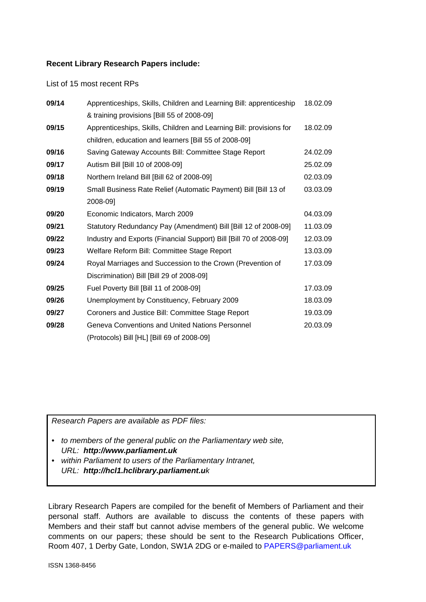#### **Recent Library Research Papers include:**

List of 15 most recent RPs

| 09/14 | Apprenticeships, Skills, Children and Learning Bill: apprenticeship | 18.02.09 |
|-------|---------------------------------------------------------------------|----------|
|       | & training provisions [Bill 55 of 2008-09]                          |          |
| 09/15 | Apprenticeships, Skills, Children and Learning Bill: provisions for | 18.02.09 |
|       | children, education and learners [Bill 55 of 2008-09]               |          |
| 09/16 | Saving Gateway Accounts Bill: Committee Stage Report                | 24.02.09 |
| 09/17 | Autism Bill [Bill 10 of 2008-09]                                    | 25.02.09 |
| 09/18 | Northern Ireland Bill [Bill 62 of 2008-09]                          | 02.03.09 |
| 09/19 | Small Business Rate Relief (Automatic Payment) Bill [Bill 13 of     | 03.03.09 |
|       | 2008-091                                                            |          |
| 09/20 | Economic Indicators, March 2009                                     | 04.03.09 |
| 09/21 | Statutory Redundancy Pay (Amendment) Bill [Bill 12 of 2008-09]      | 11.03.09 |
| 09/22 | Industry and Exports (Financial Support) Bill [Bill 70 of 2008-09]  | 12.03.09 |
| 09/23 | Welfare Reform Bill: Committee Stage Report                         | 13.03.09 |
| 09/24 | Royal Marriages and Succession to the Crown (Prevention of          | 17.03.09 |
|       | Discrimination) Bill [Bill 29 of 2008-09]                           |          |
| 09/25 | Fuel Poverty Bill [Bill 11 of 2008-09]                              | 17.03.09 |
| 09/26 | Unemployment by Constituency, February 2009                         | 18.03.09 |
| 09/27 | Coroners and Justice Bill: Committee Stage Report                   | 19.03.09 |
| 09/28 | Geneva Conventions and United Nations Personnel                     | 20.03.09 |
|       | (Protocols) Bill [HL] [Bill 69 of 2008-09]                          |          |

*Research Papers are available as PDF files:* 

- *to members of the general public on the Parliamentary web site, URL: http://www.parliament.uk*
- *within Parliament to users of the Parliamentary Intranet, URL: http://hcl1.hclibrary.parliament.uk*

Library Research Papers are compiled for the benefit of Members of Parliament and their personal staff. Authors are available to discuss the contents of these papers with Members and their staff but cannot advise members of the general public. We welcome comments on our papers; these should be sent to the Research Publications Officer, Room 407, 1 Derby Gate, London, SW1A 2DG or e-mailed to [PAPERS@parliament.uk](mailto:PAPERS@parliament.uk)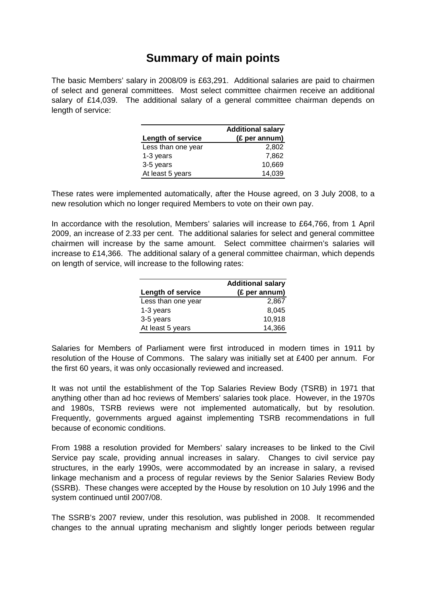# **Summary of main points**

The basic Members' salary in 2008/09 is £63,291. Additional salaries are paid to chairmen of select and general committees. Most select committee chairmen receive an additional salary of £14,039. The additional salary of a general committee chairman depends on length of service:

| <b>Additional salary</b> |               |
|--------------------------|---------------|
| <b>Length of service</b> | (£ per annum) |
| Less than one year       | 2.802         |
| 1-3 years                | 7.862         |
| 3-5 years                | 10,669        |
| At least 5 years         | 14,039        |

These rates were implemented automatically, after the House agreed, on 3 July 2008, to a new resolution which no longer required Members to vote on their own pay.

In accordance with the resolution, Members' salaries will increase to £64,766, from 1 April 2009, an increase of 2.33 per cent. The additional salaries for select and general committee chairmen will increase by the same amount. Select committee chairmen's salaries will increase to £14,366. The additional salary of a general committee chairman, which depends on length of service, will increase to the following rates:

| <b>Additional salary</b> |               |
|--------------------------|---------------|
| Length of service        | (£ per annum) |
| Less than one year       | 2,867         |
| 1-3 years                | 8,045         |
| 3-5 years                | 10,918        |
| At least 5 years         | 14,366        |

Salaries for Members of Parliament were first introduced in modern times in 1911 by resolution of the House of Commons. The salary was initially set at £400 per annum. For the first 60 years, it was only occasionally reviewed and increased.

It was not until the establishment of the Top Salaries Review Body (TSRB) in 1971 that anything other than ad hoc reviews of Members' salaries took place. However, in the 1970s and 1980s, TSRB reviews were not implemented automatically, but by resolution. Frequently, governments argued against implementing TSRB recommendations in full because of economic conditions.

From 1988 a resolution provided for Members' salary increases to be linked to the Civil Service pay scale, providing annual increases in salary. Changes to civil service pay structures, in the early 1990s, were accommodated by an increase in salary, a revised linkage mechanism and a process of regular reviews by the Senior Salaries Review Body (SSRB). These changes were accepted by the House by resolution on 10 July 1996 and the system continued until 2007/08.

The SSRB's 2007 review, under this resolution, was published in 2008. It recommended changes to the annual uprating mechanism and slightly longer periods between regular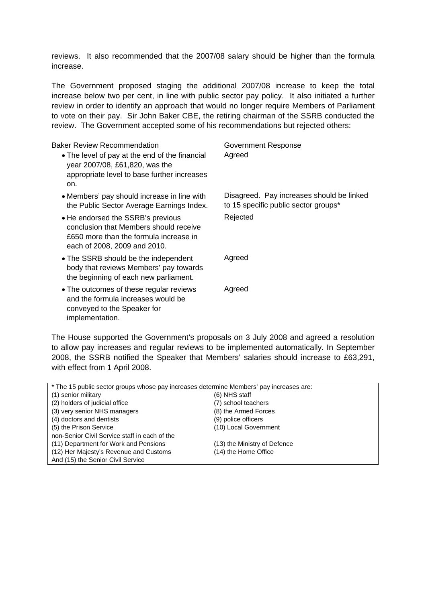reviews. It also recommended that the 2007/08 salary should be higher than the formula increase.

The Government proposed staging the additional 2007/08 increase to keep the total increase below two per cent, in line with public sector pay policy. It also initiated a further review in order to identify an approach that would no longer require Members of Parliament to vote on their pay. Sir John Baker CBE, the retiring chairman of the SSRB conducted the review. The Government accepted some of his recommendations but rejected others:

| Government Response                                                               |
|-----------------------------------------------------------------------------------|
| Agreed                                                                            |
| Disagreed. Pay increases should be linked<br>to 15 specific public sector groups* |
| Rejected                                                                          |
| Agreed                                                                            |
| Agreed                                                                            |
|                                                                                   |

The House supported the Government's proposals on 3 July 2008 and agreed a resolution to allow pay increases and regular reviews to be implemented automatically. In September 2008, the SSRB notified the Speaker that Members' salaries should increase to £63,291, with effect from 1 April 2008.

| * The 15 public sector groups whose pay increases determine Members' pay increases are: |                              |  |  |
|-----------------------------------------------------------------------------------------|------------------------------|--|--|
| (1) senior military                                                                     | (6) NHS staff                |  |  |
| (2) holders of judicial office                                                          | (7) school teachers          |  |  |
| (3) very senior NHS managers                                                            | (8) the Armed Forces         |  |  |
| (4) doctors and dentists                                                                | (9) police officers          |  |  |
| (5) the Prison Service                                                                  | (10) Local Government        |  |  |
| non-Senior Civil Service staff in each of the                                           |                              |  |  |
| (11) Department for Work and Pensions                                                   | (13) the Ministry of Defence |  |  |
| (12) Her Majesty's Revenue and Customs                                                  | (14) the Home Office         |  |  |
| And (15) the Senior Civil Service                                                       |                              |  |  |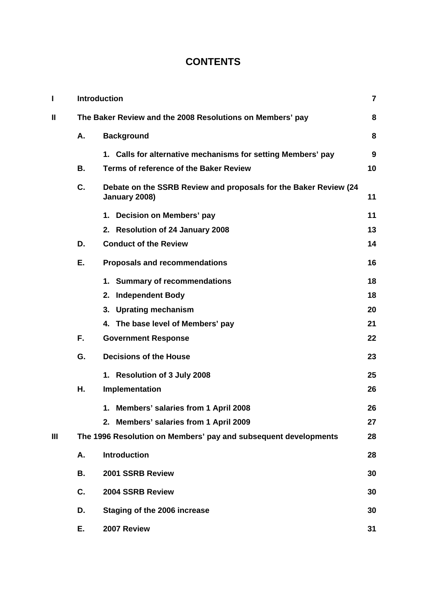# **CONTENTS**

| I            | <b>Introduction</b> |                                                                                   |    |  |
|--------------|---------------------|-----------------------------------------------------------------------------------|----|--|
| $\mathbf{I}$ |                     | The Baker Review and the 2008 Resolutions on Members' pay                         |    |  |
|              | Α.                  | <b>Background</b>                                                                 | 8  |  |
|              |                     | 1. Calls for alternative mechanisms for setting Members' pay                      | 9  |  |
|              | В.                  | Terms of reference of the Baker Review                                            | 10 |  |
|              | C.                  | Debate on the SSRB Review and proposals for the Baker Review (24<br>January 2008) | 11 |  |
|              |                     | 1. Decision on Members' pay                                                       | 11 |  |
|              |                     | 2. Resolution of 24 January 2008                                                  | 13 |  |
|              | D.                  | <b>Conduct of the Review</b>                                                      | 14 |  |
|              | Е.                  | <b>Proposals and recommendations</b>                                              | 16 |  |
|              |                     | 1. Summary of recommendations                                                     | 18 |  |
|              |                     | <b>Independent Body</b><br>2.                                                     | 18 |  |
|              |                     | 3. Uprating mechanism                                                             | 20 |  |
|              |                     | 4. The base level of Members' pay                                                 | 21 |  |
|              | F.                  | <b>Government Response</b>                                                        | 22 |  |
|              | G.                  | <b>Decisions of the House</b>                                                     | 23 |  |
|              |                     | 1. Resolution of 3 July 2008                                                      | 25 |  |
|              | Η.                  | Implementation                                                                    | 26 |  |
|              |                     | 1. Members' salaries from 1 April 2008                                            | 26 |  |
|              |                     | 2. Members' salaries from 1 April 2009                                            | 27 |  |
| Ш            |                     | The 1996 Resolution on Members' pay and subsequent developments                   | 28 |  |
|              | Α.                  | <b>Introduction</b>                                                               | 28 |  |
|              | В.                  | 2001 SSRB Review                                                                  | 30 |  |
|              | C.                  | 2004 SSRB Review                                                                  | 30 |  |
|              | D.                  | Staging of the 2006 increase                                                      | 30 |  |
|              | Е.                  | 2007 Review                                                                       | 31 |  |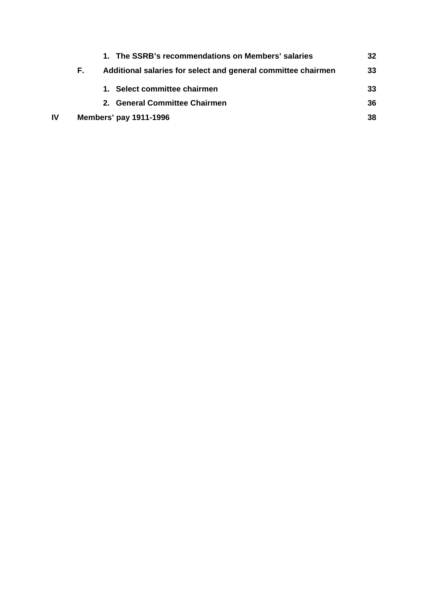| Additional salaries for select and general committee chairmen<br>F.<br>Select committee chairmen<br><b>General Committee Chairmen</b><br>$2_{-}$<br>IV<br><b>Members' pay 1911-1996</b> | 32 |
|-----------------------------------------------------------------------------------------------------------------------------------------------------------------------------------------|----|
|                                                                                                                                                                                         | 33 |
|                                                                                                                                                                                         | 33 |
|                                                                                                                                                                                         | 36 |
|                                                                                                                                                                                         | 38 |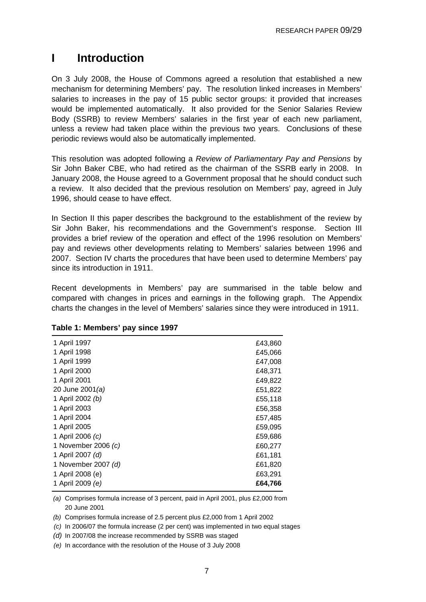# <span id="page-6-0"></span>**I Introduction**

On 3 July 2008, the House of Commons agreed a resolution that established a new mechanism for determining Members' pay. The resolution linked increases in Members' salaries to increases in the pay of 15 public sector groups: it provided that increases would be implemented automatically. It also provided for the Senior Salaries Review Body (SSRB) to review Members' salaries in the first year of each new parliament, unless a review had taken place within the previous two years. Conclusions of these periodic reviews would also be automatically implemented.

This resolution was adopted following a *Review of Parliamentary Pay and Pensions* by Sir John Baker CBE, who had retired as the chairman of the SSRB early in 2008. In January 2008, the House agreed to a Government proposal that he should conduct such a review. It also decided that the previous resolution on Members' pay, agreed in July 1996, should cease to have effect.

In Section II this paper describes the background to the establishment of the review by Sir John Baker, his recommendations and the Government's response. Section III provides a brief review of the operation and effect of the 1996 resolution on Members' pay and reviews other developments relating to Members' salaries between 1996 and 2007. Section IV charts the procedures that have been used to determine Members' pay since its introduction in 1911.

Recent developments in Members' pay are summarised in the table below and compared with changes in prices and earnings in the following graph. The Appendix charts the changes in the level of Members' salaries since they were introduced in 1911.

| 1 April 1997        | £43,860 |
|---------------------|---------|
| 1 April 1998        | £45,066 |
| 1 April 1999        | £47,008 |
| 1 April 2000        | £48,371 |
| 1 April 2001        | £49,822 |
| 20 June 2001(a)     | £51,822 |
| 1 April 2002 (b)    | £55,118 |
| 1 April 2003        | £56,358 |
| 1 April 2004        | £57,485 |
| 1 April 2005        | £59,095 |
| 1 April 2006 (c)    | £59,686 |
| 1 November 2006 (c) | £60,277 |
| 1 April 2007 (d)    | £61,181 |
| 1 November 2007 (d) | £61,820 |
| 1 April 2008 (e)    | £63,291 |
| 1 April 2009 (e)    | £64,766 |
|                     |         |

#### **Table 1: Members' pay since 1997**

*(a)*  Comprises formula increase of 3 percent, paid in April 2001, plus £2,000 from 20 June 2001

*(b)* Comprises formula increase of 2.5 percent plus £2,000 from 1 April 2002

*(c)* In 2006/07 the formula increase (2 per cent) was implemented in two equal stages

*(d)* In 2007/08 the increase recommended by SSRB was staged

*(e)* In accordance with the resolution of the House of 3 July 2008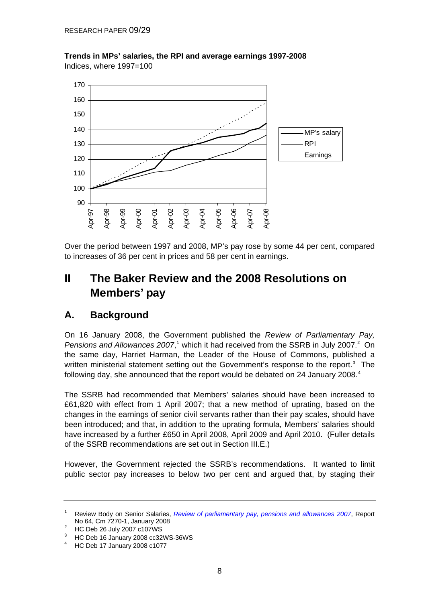

<span id="page-7-0"></span>**Trends in MPs' salaries, the RPI and average earnings 1997-2008**  Indices, where 1997=100

Over the period between 1997 and 2008, MP's pay rose by some 44 per cent, compared to increases of 36 per cent in prices and 58 per cent in earnings.

# **II The Baker Review and the 2008 Resolutions on Members' pay**

### **A. Background**

On 16 January 2008, the Government published the *Review of Parliamentary Pay,*  Pensions and Allowances 2007,<sup>[1](#page-7-0)</sup> which it had received from the SSRB in July [2](#page-7-0)007.<sup>2</sup> On the same day, Harriet Harman, the Leader of the House of Commons, published a written ministerial statement setting out the Government's response to the report.<sup>[3](#page-7-0)</sup> The following day, she announced that the report would be debated on 2[4](#page-7-0) January 2008.<sup>4</sup>

The SSRB had recommended that Members' salaries should have been increased to £61,820 with effect from 1 April 2007; that a new method of uprating, based on the changes in the earnings of senior civil servants rather than their pay scales, should have been introduced; and that, in addition to the uprating formula, Members' salaries should have increased by a further £650 in April 2008, April 2009 and April 2010. (Fuller details of the SSRB recommendations are set out in Section III.E.)

However, the Government rejected the SSRB's recommendations. It wanted to limit public sector pay increases to below two per cent and argued that, by staging their

<sup>1</sup> Review Body on Senior Salaries, *[Review of parliamentary pay, pensions and allowances 2007](http://www.ome.uk.com/downloads/Review%20of%20Parliamentary%20pay%202007%20volume%201.pdf.pdf)*, Report No 64, Cm 7270-1, January 2008

HC Deb 26 July 2007 c107WS

 $3$  HC Deb 16 January 2008 cc32WS-36WS

<sup>4</sup> HC Deb 17 January 2008 c1077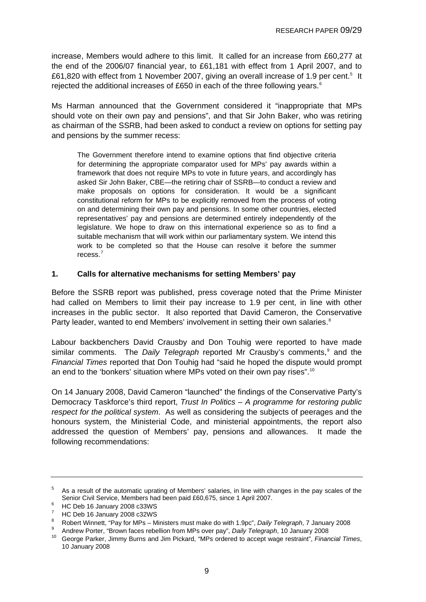<span id="page-8-0"></span>increase, Members would adhere to this limit. It called for an increase from £60,277 at the end of the 2006/07 financial year, to £61,181 with effect from 1 April 2007, and to £61,820 with effect from 1 November 2007, giving an overall increase of 1.9 per cent.<sup>[5](#page-8-0)</sup> It rejected the additional increases of £[6](#page-8-0)50 in each of the three following years. $6$ 

Ms Harman announced that the Government considered it "inappropriate that MPs should vote on their own pay and pensions", and that Sir John Baker, who was retiring as chairman of the SSRB, had been asked to conduct a review on options for setting pay and pensions by the summer recess:

The Government therefore intend to examine options that find objective criteria for determining the appropriate comparator used for MPs' pay awards within a framework that does not require MPs to vote in future years, and accordingly has asked Sir John Baker, CBE—the retiring chair of SSRB—to conduct a review and make proposals on options for consideration. It would be a significant constitutional reform for MPs to be explicitly removed from the process of voting on and determining their own pay and pensions. In some other countries, elected representatives' pay and pensions are determined entirely independently of the legislature. We hope to draw on this international experience so as to find a suitable mechanism that will work within our parliamentary system. We intend this work to be completed so that the House can resolve it before the summer recess.<sup>[7](#page-8-0)</sup>

### **1. Calls for alternative mechanisms for setting Members' pay**

Before the SSRB report was published, press coverage noted that the Prime Minister had called on Members to limit their pay increase to 1.9 per cent, in line with other increases in the public sector. It also reported that David Cameron, the Conservative Party leader, wanted to end Members' involvement in setting their own salaries.<sup>[8](#page-8-0)</sup>

Labour backbenchers David Crausby and Don Touhig were reported to have made similar comments. The Daily Telegraph reported Mr Crausby's comments,<sup>[9](#page-8-0)</sup> and the *Financial Times* reported that Don Touhig had "said he hoped the dispute would prompt an end to the 'bonkers' situation where MPs voted on their own pay rises".<sup>[10](#page-8-0)</sup>

On 14 January 2008, David Cameron "launched" the findings of the Conservative Party's Democracy Taskforce's third report, *Trust In Politics – A programme for restoring public respect for the political system*. As well as considering the subjects of peerages and the honours system, the Ministerial Code, and ministerial appointments, the report also addressed the question of Members' pay, pensions and allowances. It made the following recommendations:

<sup>5</sup> As a result of the automatic uprating of Members' salaries, in line with changes in the pay scales of the Senior Civil Service, Members had been paid £60,675, since 1 April 2007.

HC Deb 16 January 2008 c33WS

 $7$  HC Deb 16 January 2008 c32WS

<sup>8</sup> Robert Winnett, "Pay for MPs – Ministers must make do with 1.9pc", *Daily Telegraph*, 7 January 2008<br>Andrew Porter, "Brown faces rebellion from MPs over pay", *Daily Telegraph*, 10 January 2008

Andrew Porter, "Brown faces repellion from MPs over pay", *Daily Telegraph, 10 January 2008 10 George Parker, Jimmy Burns and Jim Pickard, "MPs ordered to accept wage restraint", <i>Financial Times*, 10 January 2008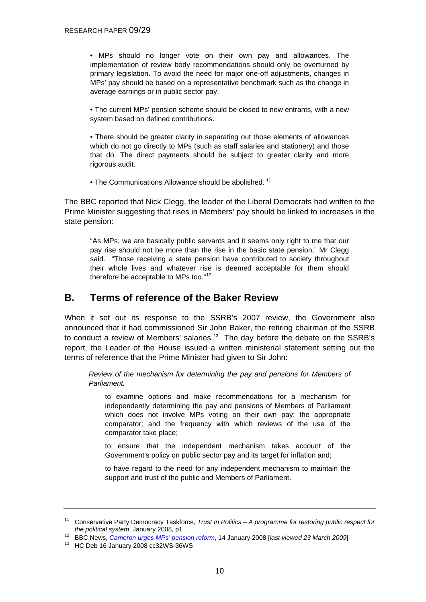<span id="page-9-0"></span>• MPs should no longer vote on their own pay and allowances. The implementation of review body recommendations should only be overturned by primary legislation. To avoid the need for major one-off adjustments, changes in MPs' pay should be based on a representative benchmark such as the change in average earnings or in public sector pay.

• The current MPs' pension scheme should be closed to new entrants, with a new system based on defined contributions.

• There should be greater clarity in separating out those elements of allowances which do not go directly to MPs (such as staff salaries and stationery) and those that do. The direct payments should be subject to greater clarity and more rigorous audit.

• The Communications Allowance should be abolished. <sup>[11](#page-9-0)</sup>

The BBC reported that Nick Clegg, the leader of the Liberal Democrats had written to the Prime Minister suggesting that rises in Members' pay should be linked to increases in the state pension:

"As MPs, we are basically public servants and it seems only right to me that our pay rise should not be more than the rise in the basic state pension," Mr Clegg said. "Those receiving a state pension have contributed to society throughout their whole lives and whatever rise is deemed acceptable for them should therefore be acceptable to MPs too."[12](#page-9-0)

### **B. Terms of reference of the Baker Review**

When it set out its response to the SSRB's 2007 review, the Government also announced that it had commissioned Sir John Baker, the retiring chairman of the SSRB to conduct a review of Members' salaries.<sup>[13](#page-9-0)</sup> The day before the debate on the SSRB's report, the Leader of the House issued a written ministerial statement setting out the terms of reference that the Prime Minister had given to Sir John:

*Review of the mechanism for determining the pay and pensions for Members of Parliament.* 

to examine options and make recommendations for a mechanism for independently determining the pay and pensions of Members of Parliament which does not involve MPs voting on their own pay; the appropriate comparator; and the frequency with which reviews of the use of the comparator take place;

to ensure that the independent mechanism takes account of the Government's policy on public sector pay and its target for inflation and;

to have regard to the need for any independent mechanism to maintain the support and trust of the public and Members of Parliament.

<sup>11</sup> Conservative Party Democracy Taskforce, *Trust In Politics – A programme for restoring public respect for the political system*, January 2008, p1<br>
<sup>12</sup> BBC News, *Cameron urges MPs' pension reform*, 14 January 2008 [*last viewed 23 March 2009*]<br>
<sup>13</sup> HC Deb 16 January 2008 cc32WS-36WS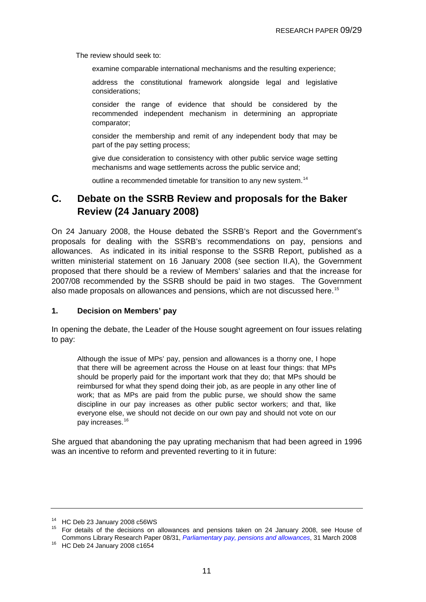<span id="page-10-0"></span>The review should seek to:

examine comparable international mechanisms and the resulting experience;

address the constitutional framework alongside legal and legislative considerations;

consider the range of evidence that should be considered by the recommended independent mechanism in determining an appropriate comparator;

consider the membership and remit of any independent body that may be part of the pay setting process;

give due consideration to consistency with other public service wage setting mechanisms and wage settlements across the public service and;

outline a recommended timetable for transition to any new system.<sup>[14](#page-10-0)</sup>

### **C. Debate on the SSRB Review and proposals for the Baker Review (24 January 2008)**

On 24 January 2008, the House debated the SSRB's Report and the Government's proposals for dealing with the SSRB's recommendations on pay, pensions and allowances. As indicated in its initial response to the SSRB Report, published as a written ministerial statement on 16 January 2008 (see section II.A), the Government proposed that there should be a review of Members' salaries and that the increase for 2007/08 recommended by the SSRB should be paid in two stages. The Government also made proposals on allowances and pensions, which are not discussed here.<sup>[15](#page-10-0)</sup>

### **1. Decision on Members' pay**

In opening the debate, the Leader of the House sought agreement on four issues relating to pay:

Although the issue of MPs' pay, pension and allowances is a thorny one, I hope that there will be agreement across the House on at least four things: that MPs should be properly paid for the important work that they do; that MPs should be reimbursed for what they spend doing their job, as are people in any other line of work; that as MPs are paid from the public purse, we should show the same discipline in our pay increases as other public sector workers; and that, like everyone else, we should not decide on our own pay and should not vote on our pay increases.[16](#page-10-0)

She argued that abandoning the pay uprating mechanism that had been agreed in 1996 was an incentive to reform and prevented reverting to it in future:

<sup>14</sup> HC Deb 23 January 2008 c56WS

<sup>15</sup> For details of the decisions on allowances and pensions taken on 24 January 2008, see House of Commons Library Research Paper 08/31, *Parliamentary pay, pensions and allowances*, 31 March 2008 16 HC Deb 24 January 2008 c1654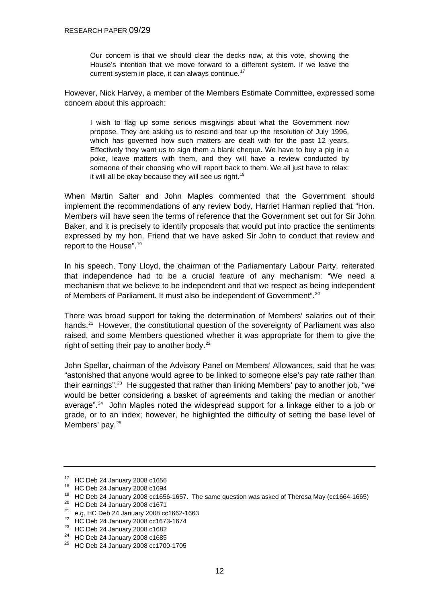<span id="page-11-0"></span>Our concern is that we should clear the decks now, at this vote, showing the House's intention that we move forward to a different system. If we leave the current system in place, it can always continue.<sup>[17](#page-11-0)</sup>

However, Nick Harvey, a member of the Members Estimate Committee, expressed some concern about this approach:

I wish to flag up some serious misgivings about what the Government now propose. They are asking us to rescind and tear up the resolution of July 1996, which has governed how such matters are dealt with for the past 12 years. Effectively they want us to sign them a blank cheque. We have to buy a pig in a poke, leave matters with them, and they will have a review conducted by someone of their choosing who will report back to them. We all just have to relax: it will all be okay because they will see us right. $18$ 

When Martin Salter and John Maples commented that the Government should implement the recommendations of any review body, Harriet Harman replied that "Hon. Members will have seen the terms of reference that the Government set out for Sir John Baker, and it is precisely to identify proposals that would put into practice the sentiments expressed by my hon. Friend that we have asked Sir John to conduct that review and report to the House".[19](#page-11-0)

In his speech, Tony Lloyd, the chairman of the Parliamentary Labour Party, reiterated that independence had to be a crucial feature of any mechanism: "We need a mechanism that we believe to be independent and that we respect as being independent of Members of Parliament. It must also be independent of Government".[20](#page-11-0)

There was broad support for taking the determination of Members' salaries out of their hands.<sup>[21](#page-11-0)</sup> However, the constitutional question of the sovereignty of Parliament was also raised, and some Members questioned whether it was appropriate for them to give the right of setting their pay to another body.<sup>[22](#page-11-0)</sup>

John Spellar, chairman of the Advisory Panel on Members' Allowances, said that he was "astonished that anyone would agree to be linked to someone else's pay rate rather than their earnings".<sup>[23](#page-11-0)</sup> He suggested that rather than linking Members' pay to another job, "we would be better considering a basket of agreements and taking the median or another average".[24](#page-11-0) John Maples noted the widespread support for a linkage either to a job or grade, or to an index; however, he highlighted the difficulty of setting the base level of Members' pay.<sup>[25](#page-11-0)</sup>

<sup>17</sup> HC Deb 24 January 2008 c1656

<sup>18</sup> HC Deb 24 January 2008 c1694

<sup>&</sup>lt;sup>19</sup> HC Deb 24 January 2008 cc1656-1657. The same question was asked of Theresa May (cc1664-1665)

<sup>20</sup> HC Deb 24 January 2008 c1671

 $21$  e.g. HC Deb 24 January 2008 cc1662-1663

<sup>22</sup> HC Deb 24 January 2008 cc1673-1674

<sup>23</sup> HC Deb 24 January 2008 c1682

<sup>24</sup> HC Deb 24 January 2008 c1685

<sup>25</sup> HC Deb 24 January 2008 cc1700-1705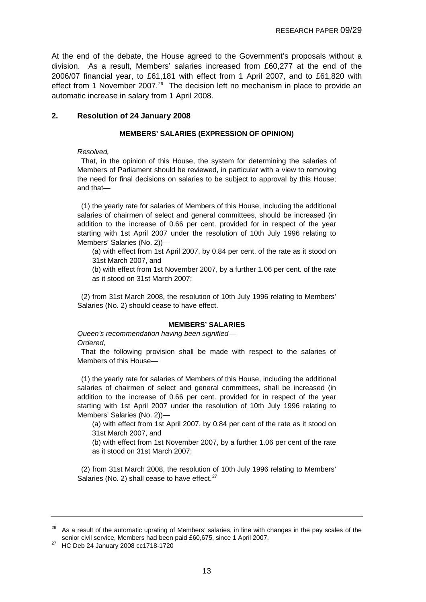<span id="page-12-0"></span>At the end of the debate, the House agreed to the Government's proposals without a division. As a result, Members' salaries increased from £60,277 at the end of the 2006/07 financial year, to £61,181 with effect from 1 April 2007, and to £61,820 with effect from 1 November 2007.<sup>[26](#page-12-0)</sup> The decision left no mechanism in place to provide an automatic increase in salary from 1 April 2008.

### **2. Resolution of 24 January 2008**

#### **MEMBERS' SALARIES (EXPRESSION OF OPINION)**

*Resolved,* 

 That, in the opinion of this House, the system for determining the salaries of Members of Parliament should be reviewed, in particular with a view to removing the need for final decisions on salaries to be subject to approval by this House; and that—

 (1) the yearly rate for salaries of Members of this House, including the additional salaries of chairmen of select and general committees, should be increased (in addition to the increase of 0.66 per cent. provided for in respect of the year starting with 1st April 2007 under the resolution of 10th July 1996 relating to Members' Salaries (No. 2))—

(a) with effect from 1st April 2007, by 0.84 per cent. of the rate as it stood on 31st March 2007, and

(b) with effect from 1st November 2007, by a further 1.06 per cent. of the rate as it stood on 31st March 2007;

 (2) from 31st March 2008, the resolution of 10th July 1996 relating to Members' Salaries (No. 2) should cease to have effect.

#### **MEMBERS' SALARIES**

*Queen's recommendation having been signified—* 

*Ordered,* 

 That the following provision shall be made with respect to the salaries of Members of this House—

 (1) the yearly rate for salaries of Members of this House, including the additional salaries of chairmen of select and general committees, shall be increased (in addition to the increase of 0.66 per cent. provided for in respect of the year starting with 1st April 2007 under the resolution of 10th July 1996 relating to Members' Salaries (No. 2))—

(a) with effect from 1st April 2007, by 0.84 per cent of the rate as it stood on 31st March 2007, and

(b) with effect from 1st November 2007, by a further 1.06 per cent of the rate as it stood on 31st March 2007;

 (2) from 31st March 2008, the resolution of 10th July 1996 relating to Members' Salaries (No. 2) shall cease to have effect. $27$ 

<sup>&</sup>lt;sup>26</sup> As a result of the automatic uprating of Members' salaries, in line with changes in the pay scales of the senior civil service, Members had been paid £60,675, since 1 April 2007. 27 HC Deb 24 January 2008 cc1718-1720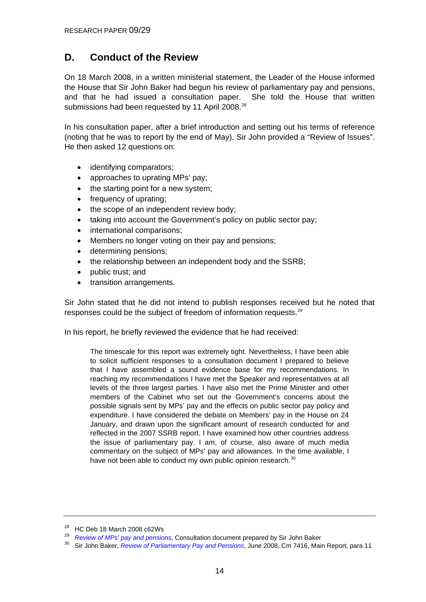### <span id="page-13-0"></span>**D. Conduct of the Review**

On 18 March 2008, in a written ministerial statement, the Leader of the House informed the House that Sir John Baker had begun his review of parliamentary pay and pensions, and that he had issued a consultation paper. She told the House that written submissions had been requested by 11 April 2008.<sup>[28](#page-13-0)</sup>

In his consultation paper, after a brief introduction and setting out his terms of reference (noting that he was to report by the end of May), Sir John provided a "Review of Issues". He then asked 12 questions on:

- identifying comparators;
- approaches to uprating MPs' pay;
- the starting point for a new system:
- frequency of uprating;
- the scope of an independent review body:
- taking into account the Government's policy on public sector pay;
- international comparisons;
- Members no longer voting on their pay and pensions;
- determining pensions;
- the relationship between an independent body and the SSRB;
- public trust; and
- transition arrangements.

Sir John stated that he did not intend to publish responses received but he noted that responses could be the subject of freedom of information requests.<sup>[29](#page-13-0)</sup>

In his report, he briefly reviewed the evidence that he had received:

The timescale for this report was extremely tight. Nevertheless, I have been able to solicit sufficient responses to a consultation document I prepared to believe that I have assembled a sound evidence base for my recommendations. In reaching my recommendations I have met the Speaker and representatives at all levels of the three largest parties. I have also met the Prime Minister and other members of the Cabinet who set out the Government's concerns about the possible signals sent by MPs' pay and the effects on public sector pay policy and expenditure. I have considered the debate on Members' pay in the House on 24 January, and drawn upon the significant amount of research conducted for and reflected in the 2007 SSRB report. I have examined how other countries address the issue of parliamentary pay. I am, of course, also aware of much media commentary on the subject of MPs' pay and allowances. In the time available, I have not been able to conduct my own public opinion research.<sup>[30](#page-13-0)</sup>

<sup>&</sup>lt;sup>28</sup> HC Deb 18 March 2008 c62Ws<br><sup>29</sup> Review of MPs' pay and pensions, Consultation document prepared by Sir John Baker

<sup>&</sup>lt;sup>30</sup>Sir John Baker, *Review of Parliamentary Pay and Pensions*, June 2008, Cm 7416, Main Report, para 11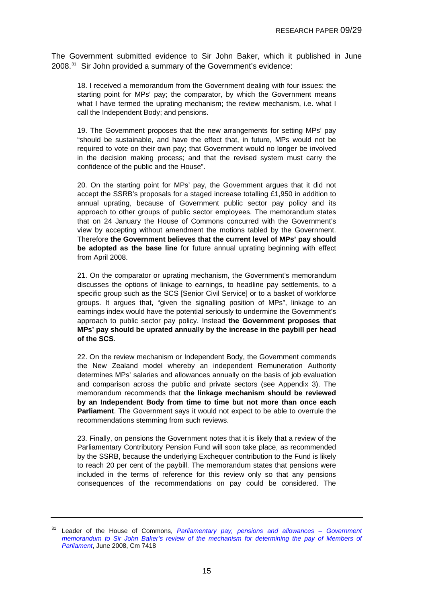<span id="page-14-0"></span>The Government submitted evidence to Sir John Baker, which it published in June 2008.[31](#page-14-0) Sir John provided a summary of the Government's evidence:

18. I received a memorandum from the Government dealing with four issues: the starting point for MPs' pay; the comparator, by which the Government means what I have termed the uprating mechanism; the review mechanism, i.e. what I call the Independent Body; and pensions.

19. The Government proposes that the new arrangements for setting MPs' pay "should be sustainable, and have the effect that, in future, MPs would not be required to vote on their own pay; that Government would no longer be involved in the decision making process; and that the revised system must carry the confidence of the public and the House".

20. On the starting point for MPs' pay, the Government argues that it did not accept the SSRB's proposals for a staged increase totalling £1,950 in addition to annual uprating, because of Government public sector pay policy and its approach to other groups of public sector employees. The memorandum states that on 24 January the House of Commons concurred with the Government's view by accepting without amendment the motions tabled by the Government. Therefore **the Government believes that the current level of MPs' pay should be adopted as the base line** for future annual uprating beginning with effect from April 2008.

21. On the comparator or uprating mechanism, the Government's memorandum discusses the options of linkage to earnings, to headline pay settlements, to a specific group such as the SCS [Senior Civil Service] or to a basket of workforce groups. It argues that, "given the signalling position of MPs", linkage to an earnings index would have the potential seriously to undermine the Government's approach to public sector pay policy. Instead **the Government proposes that MPs' pay should be uprated annually by the increase in the paybill per head of the SCS**.

22. On the review mechanism or Independent Body, the Government commends the New Zealand model whereby an independent Remuneration Authority determines MPs' salaries and allowances annually on the basis of job evaluation and comparison across the public and private sectors (see Appendix 3). The memorandum recommends that **the linkage mechanism should be reviewed by an Independent Body from time to time but not more than once each Parliament**. The Government says it would not expect to be able to overrule the recommendations stemming from such reviews.

23. Finally, on pensions the Government notes that it is likely that a review of the Parliamentary Contributory Pension Fund will soon take place, as recommended by the SSRB, because the underlying Exchequer contribution to the Fund is likely to reach 20 per cent of the paybill. The memorandum states that pensions were included in the terms of reference for this review only so that any pensions consequences of the recommendations on pay could be considered. The

<sup>31</sup> Leader of the House of Commons, *[Parliamentary pay, pensions and allowances – Government](http://www.official-documents.gov.uk/document/cm74/7418/7418.pdf)  [memorandum to Sir John Baker's review of the mechanism for determining the pay of Members of](http://www.official-documents.gov.uk/document/cm74/7418/7418.pdf)  [Parliament](http://www.official-documents.gov.uk/document/cm74/7418/7418.pdf)*, June 2008, Cm 7418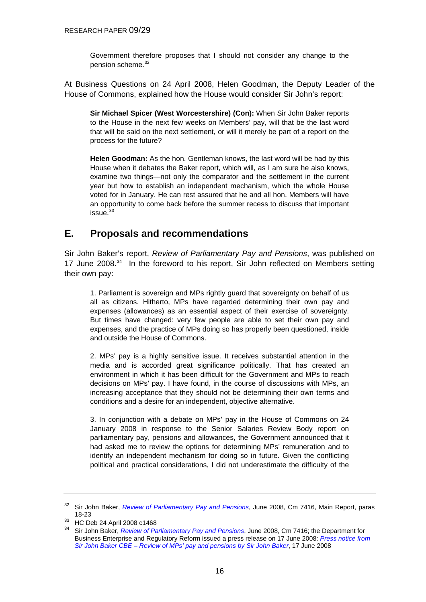Government therefore proposes that I should not consider any change to the pension scheme.<sup>[32](#page-15-0)</sup>

<span id="page-15-0"></span>At Business Questions on 24 April 2008, Helen Goodman, the Deputy Leader of the House of Commons, explained how the House would consider Sir John's report:

**Sir Michael Spicer (West Worcestershire) (Con):** When Sir John Baker reports to the House in the next few weeks on Members' pay, will that be the last word that will be said on the next settlement, or will it merely be part of a report on the process for the future?

**Helen Goodman:** As the hon. Gentleman knows, the last word will be had by this House when it debates the Baker report, which will, as I am sure he also knows, examine two things—not only the comparator and the settlement in the current year but how to establish an independent mechanism, which the whole House voted for in January. He can rest assured that he and all hon. Members will have an opportunity to come back before the summer recess to discuss that important  $is sue.<sup>33</sup>$  $is sue.<sup>33</sup>$  $is sue.<sup>33</sup>$ 

### **E. Proposals and recommendations**

Sir John Baker's report, *Review of Parliamentary Pay and Pensions*, was published on 17 June 2008.<sup>[34](#page-15-0)</sup> In the foreword to his report, Sir John reflected on Members setting their own pay:

1. Parliament is sovereign and MPs rightly guard that sovereignty on behalf of us all as citizens. Hitherto, MPs have regarded determining their own pay and expenses (allowances) as an essential aspect of their exercise of sovereignty. But times have changed: very few people are able to set their own pay and expenses, and the practice of MPs doing so has properly been questioned, inside and outside the House of Commons.

2. MPs' pay is a highly sensitive issue. It receives substantial attention in the media and is accorded great significance politically. That has created an environment in which it has been difficult for the Government and MPs to reach decisions on MPs' pay. I have found, in the course of discussions with MPs, an increasing acceptance that they should not be determining their own terms and conditions and a desire for an independent, objective alternative.

3. In conjunction with a debate on MPs' pay in the House of Commons on 24 January 2008 in response to the Senior Salaries Review Body report on parliamentary pay, pensions and allowances, the Government announced that it had asked me to review the options for determining MPs' remuneration and to identify an independent mechanism for doing so in future. Given the conflicting political and practical considerations, I did not underestimate the difficulty of the

<sup>32</sup> Sir John Baker, *[Review of Parliamentary Pay and Pensions](http://www.official-documents.gov.uk/document/cm74/7416/7416.pdf)*, June 2008, Cm 7416, Main Report, paras

<sup>18-23&</sup>lt;br><sup>33</sup> HC Deb 24 April 2008 c1468

<sup>34</sup> Sir John Baker, *[Review of Parliamentary Pay and Pensions](http://www.official-documents.gov.uk/document/cm74/7416/7416.pdf)*, June 2008, Cm 7416; the Department for Business Enterprise and Regulatory Reform issued a press release on 17 June 2008: *[Press notice from](http://nds.coi.gov.uk/environment/fullDetail.asp?ReleaseID=370891&NewsAreaID=2&NavigatedFromDepartment=True)  [Sir John Baker CBE – Review of MPs' pay and pensions by Sir John Baker](http://nds.coi.gov.uk/environment/fullDetail.asp?ReleaseID=370891&NewsAreaID=2&NavigatedFromDepartment=True)*, 17 June 2008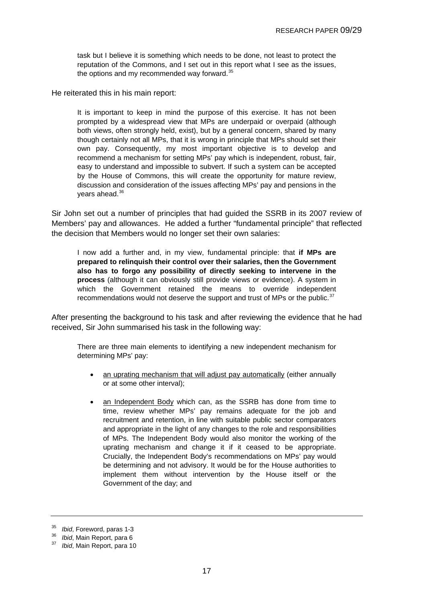<span id="page-16-0"></span>task but I believe it is something which needs to be done, not least to protect the reputation of the Commons, and I set out in this report what I see as the issues, the options and my recommended way forward.<sup>[35](#page-16-0)</sup>

He reiterated this in his main report:

It is important to keep in mind the purpose of this exercise. It has not been prompted by a widespread view that MPs are underpaid or overpaid (although both views, often strongly held, exist), but by a general concern, shared by many though certainly not all MPs, that it is wrong in principle that MPs should set their own pay. Consequently, my most important objective is to develop and recommend a mechanism for setting MPs' pay which is independent, robust, fair, easy to understand and impossible to subvert. If such a system can be accepted by the House of Commons, this will create the opportunity for mature review, discussion and consideration of the issues affecting MPs' pay and pensions in the years ahead.[36](#page-16-0)

Sir John set out a number of principles that had guided the SSRB in its 2007 review of Members' pay and allowances. He added a further "fundamental principle" that reflected the decision that Members would no longer set their own salaries:

I now add a further and, in my view, fundamental principle: that **if MPs are prepared to relinquish their control over their salaries, then the Government also has to forgo any possibility of directly seeking to intervene in the process** (although it can obviously still provide views or evidence). A system in which the Government retained the means to override independent recommendations would not deserve the support and trust of MPs or the public.<sup>[37](#page-16-0)</sup>

After presenting the background to his task and after reviewing the evidence that he had received, Sir John summarised his task in the following way:

There are three main elements to identifying a new independent mechanism for determining MPs' pay:

- an uprating mechanism that will adjust pay automatically (either annually or at some other interval);
- an Independent Body which can, as the SSRB has done from time to time, review whether MPs' pay remains adequate for the job and recruitment and retention, in line with suitable public sector comparators and appropriate in the light of any changes to the role and responsibilities of MPs. The Independent Body would also monitor the working of the uprating mechanism and change it if it ceased to be appropriate. Crucially, the Independent Body's recommendations on MPs' pay would be determining and not advisory. It would be for the House authorities to implement them without intervention by the House itself or the Government of the day; and

<sup>35</sup>*Ibid*, Foreword, paras 1-3 36 *Ibid*, Main Report, para 6 37 *Ibid*, Main Report, para 10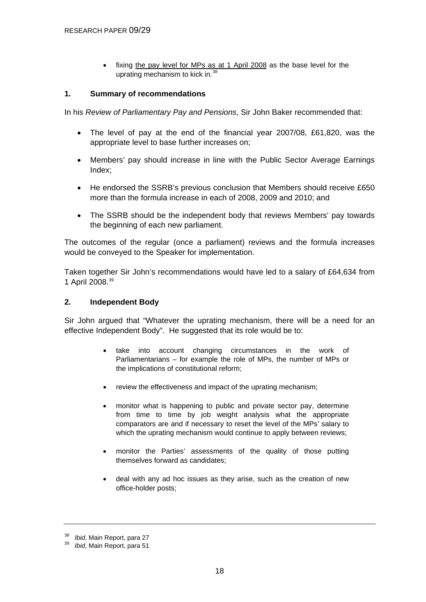fixing the pay level for MPs as at 1 April 2008 as the base level for the uprating mechanism to kick in.[38](#page-17-0)

#### <span id="page-17-0"></span>**1. Summary of recommendations**

In his *Review of Parliamentary Pay and Pensions*, Sir John Baker recommended that:

- The level of pay at the end of the financial year 2007/08, £61,820, was the appropriate level to base further increases on;
- Members' pay should increase in line with the Public Sector Average Earnings Index;
- He endorsed the SSRB's previous conclusion that Members should receive £650 more than the formula increase in each of 2008, 2009 and 2010; and
- The SSRB should be the independent body that reviews Members' pay towards the beginning of each new parliament.

The outcomes of the regular (once a parliament) reviews and the formula increases would be conveyed to the Speaker for implementation.

Taken together Sir John's recommendations would have led to a salary of £64,634 from 1 April 2008.[39](#page-17-0)

#### **2. Independent Body**

Sir John argued that "Whatever the uprating mechanism, there will be a need for an effective Independent Body". He suggested that its role would be to:

- take into account changing circumstances in the work of Parliamentarians – for example the role of MPs, the number of MPs or the implications of constitutional reform;
- review the effectiveness and impact of the uprating mechanism;
- monitor what is happening to public and private sector pay, determine from time to time by job weight analysis what the appropriate comparators are and if necessary to reset the level of the MPs' salary to which the uprating mechanism would continue to apply between reviews;
- monitor the Parties' assessments of the quality of those putting themselves forward as candidates;
- deal with any ad hoc issues as they arise, such as the creation of new office-holder posts;

<sup>38</sup>*Ibid*, Main Report, para 27 39 *Ibid*, Main Report, para 51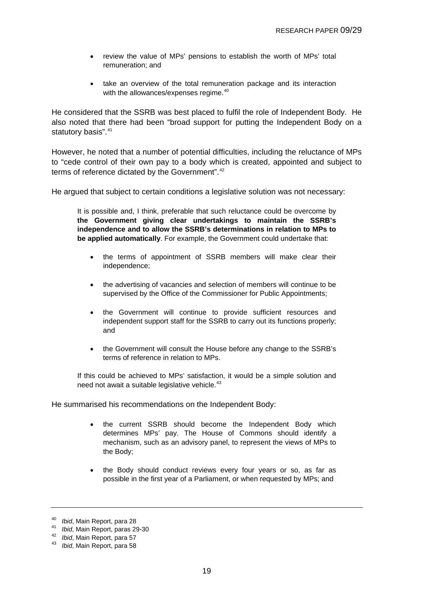- <span id="page-18-0"></span>• review the value of MPs' pensions to establish the worth of MPs' total remuneration; and
- take an overview of the total remuneration package and its interaction with the allowances/expenses regime.<sup>[40](#page-18-0)</sup>

He considered that the SSRB was best placed to fulfil the role of Independent Body. He also noted that there had been "broad support for putting the Independent Body on a statutory basis".<sup>[41](#page-18-0)</sup>

However, he noted that a number of potential difficulties, including the reluctance of MPs to "cede control of their own pay to a body which is created, appointed and subject to terms of reference dictated by the Government".<sup>[42](#page-18-0)</sup>

He argued that subject to certain conditions a legislative solution was not necessary:

It is possible and, I think, preferable that such reluctance could be overcome by **the Government giving clear undertakings to maintain the SSRB's independence and to allow the SSRB's determinations in relation to MPs to be applied automatically**. For example, the Government could undertake that:

- the terms of appointment of SSRB members will make clear their independence;
- the advertising of vacancies and selection of members will continue to be supervised by the Office of the Commissioner for Public Appointments;
- the Government will continue to provide sufficient resources and independent support staff for the SSRB to carry out its functions properly; and
- the Government will consult the House before any change to the SSRB's terms of reference in relation to MPs.

If this could be achieved to MPs' satisfaction, it would be a simple solution and need not await a suitable legislative vehicle.<sup>[43](#page-18-0)</sup>

He summarised his recommendations on the Independent Body:

- the current SSRB should become the Independent Body which determines MPs' pay. The House of Commons should identify a mechanism, such as an advisory panel, to represent the views of MPs to the Body;
- the Body should conduct reviews every four years or so, as far as possible in the first year of a Parliament, or when requested by MPs; and

<sup>40</sup>*Ibid*, Main Report, para 28 41 *Ibid*, Main Report, paras 29-30 42 *Ibid*, Main Report, para 57 43 *Ibid*, Main Report, para 58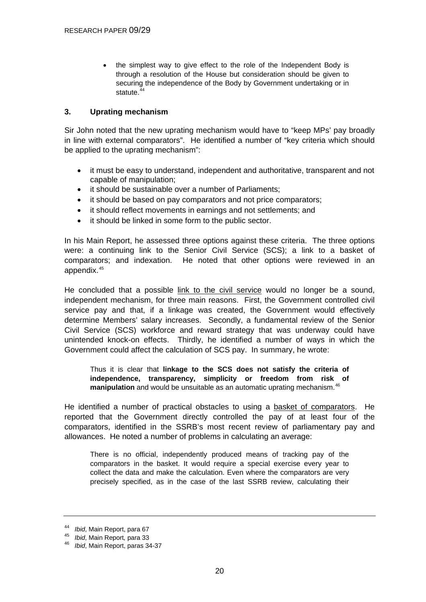<span id="page-19-0"></span>• the simplest way to give effect to the role of the Independent Body is through a resolution of the House but consideration should be given to securing the independence of the Body by Government undertaking or in statute.<sup>[44](#page-19-0)</sup>

### **3. Uprating mechanism**

Sir John noted that the new uprating mechanism would have to "keep MPs' pay broadly in line with external comparators". He identified a number of "key criteria which should be applied to the uprating mechanism":

- it must be easy to understand, independent and authoritative, transparent and not capable of manipulation;
- it should be sustainable over a number of Parliaments;
- it should be based on pay comparators and not price comparators;
- it should reflect movements in earnings and not settlements; and
- it should be linked in some form to the public sector.

In his Main Report, he assessed three options against these criteria. The three options were: a continuing link to the Senior Civil Service (SCS); a link to a basket of comparators; and indexation. He noted that other options were reviewed in an appendix.[45](#page-19-0)

He concluded that a possible link to the civil service would no longer be a sound, independent mechanism, for three main reasons. First, the Government controlled civil service pay and that, if a linkage was created, the Government would effectively determine Members' salary increases. Secondly, a fundamental review of the Senior Civil Service (SCS) workforce and reward strategy that was underway could have unintended knock-on effects. Thirdly, he identified a number of ways in which the Government could affect the calculation of SCS pay. In summary, he wrote:

Thus it is clear that **linkage to the SCS does not satisfy the criteria of independence, transparency, simplicity or freedom from risk of**  manipulation and would be unsuitable as an automatic uprating mechanism.<sup>[46](#page-19-0)</sup>

He identified a number of practical obstacles to using a basket of comparators. He reported that the Government directly controlled the pay of at least four of the comparators, identified in the SSRB's most recent review of parliamentary pay and allowances. He noted a number of problems in calculating an average:

There is no official, independently produced means of tracking pay of the comparators in the basket. It would require a special exercise every year to collect the data and make the calculation. Even where the comparators are very precisely specified, as in the case of the last SSRB review, calculating their

<sup>44</sup>*Ibid*, Main Report, para 67 45 *Ibid*, Main Report*,* para 33

<sup>46</sup> *Ibid*, Main Report, paras 34-37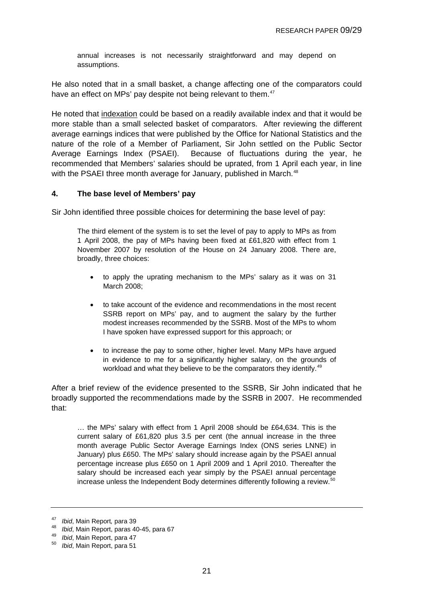<span id="page-20-0"></span>annual increases is not necessarily straightforward and may depend on assumptions.

He also noted that in a small basket, a change affecting one of the comparators could have an effect on MPs' pay despite not being relevant to them.<sup>[47](#page-20-0)</sup>

He noted that indexation could be based on a readily available index and that it would be more stable than a small selected basket of comparators. After reviewing the different average earnings indices that were published by the Office for National Statistics and the nature of the role of a Member of Parliament, Sir John settled on the Public Sector Average Earnings Index (PSAEI). Because of fluctuations during the year, he recommended that Members' salaries should be uprated, from 1 April each year, in line with the PSAEI three month average for January, published in March.<sup>[48](#page-20-0)</sup>

### **4. The base level of Members' pay**

Sir John identified three possible choices for determining the base level of pay:

The third element of the system is to set the level of pay to apply to MPs as from 1 April 2008, the pay of MPs having been fixed at £61,820 with effect from 1 November 2007 by resolution of the House on 24 January 2008. There are, broadly, three choices:

- to apply the uprating mechanism to the MPs' salary as it was on 31 March 2008;
- to take account of the evidence and recommendations in the most recent SSRB report on MPs' pay, and to augment the salary by the further modest increases recommended by the SSRB. Most of the MPs to whom I have spoken have expressed support for this approach; or
- to increase the pay to some other, higher level. Many MPs have argued in evidence to me for a significantly higher salary, on the grounds of workload and what they believe to be the comparators they identify.<sup>[49](#page-20-0)</sup>

After a brief review of the evidence presented to the SSRB, Sir John indicated that he broadly supported the recommendations made by the SSRB in 2007. He recommended that:

… the MPs' salary with effect from 1 April 2008 should be £64,634. This is the current salary of £61,820 plus 3.5 per cent (the annual increase in the three month average Public Sector Average Earnings Index (ONS series LNNE) in January) plus £650. The MPs' salary should increase again by the PSAEI annual percentage increase plus £650 on 1 April 2009 and 1 April 2010. Thereafter the salary should be increased each year simply by the PSAEI annual percentage increase unless the Independent Body determines differently following a review.<sup>[50](#page-20-0)</sup>

<sup>47</sup>*Ibid*, Main Report*,* para 39 48 *Ibid*, Main Report, paras 40-45, para 67 49 *Ibid*, Main Report, para 47 50 *Ibid*, Main Report, para 51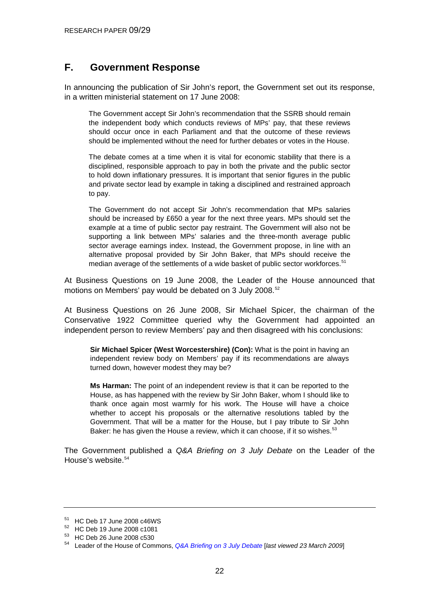### <span id="page-21-0"></span>**F. Government Response**

In announcing the publication of Sir John's report, the Government set out its response, in a written ministerial statement on 17 June 2008:

The Government accept Sir John's recommendation that the SSRB should remain the independent body which conducts reviews of MPs' pay, that these reviews should occur once in each Parliament and that the outcome of these reviews should be implemented without the need for further debates or votes in the House.

The debate comes at a time when it is vital for economic stability that there is a disciplined, responsible approach to pay in both the private and the public sector to hold down inflationary pressures. It is important that senior figures in the public and private sector lead by example in taking a disciplined and restrained approach to pay.

The Government do not accept Sir John's recommendation that MPs salaries should be increased by £650 a year for the next three years. MPs should set the example at a time of public sector pay restraint. The Government will also not be supporting a link between MPs' salaries and the three-month average public sector average earnings index. Instead, the Government propose, in line with an alternative proposal provided by Sir John Baker, that MPs should receive the median average of the settlements of a wide basket of public sector workforces.<sup>[51](#page-21-0)</sup>

At Business Questions on 19 June 2008, the Leader of the House announced that motions on Members' pay would be debated on 3 July 2008.<sup>[52](#page-21-0)</sup>

At Business Questions on 26 June 2008, Sir Michael Spicer, the chairman of the Conservative 1922 Committee queried why the Government had appointed an independent person to review Members' pay and then disagreed with his conclusions:

**Sir Michael Spicer (West Worcestershire) (Con):** What is the point in having an independent review body on Members' pay if its recommendations are always turned down, however modest they may be?

**Ms Harman:** The point of an independent review is that it can be reported to the House, as has happened with the review by Sir John Baker, whom I should like to thank once again most warmly for his work. The House will have a choice whether to accept his proposals or the alternative resolutions tabled by the Government. That will be a matter for the House, but I pay tribute to Sir John Baker: he has given the House a review, which it can choose, if it so wishes.<sup>[53](#page-21-0)</sup>

The Government published a *Q&A Briefing on 3 July Debate* on the Leader of the House's website  $54$ 

<sup>51</sup> HC Deb 17 June 2008 c46WS

<sup>52</sup> HC Deb 19 June 2008 c1081

<sup>53</sup> HC Deb 26 June 2008 c530

<sup>54</sup> Leader of the House of Commons, *[Q&A Briefing on 3 July Debate](http://www.commonsleader.gov.uk/files/pdf/Q%20and%20A%20030708%20web.pdf)* [*last viewed 23 March 2009*]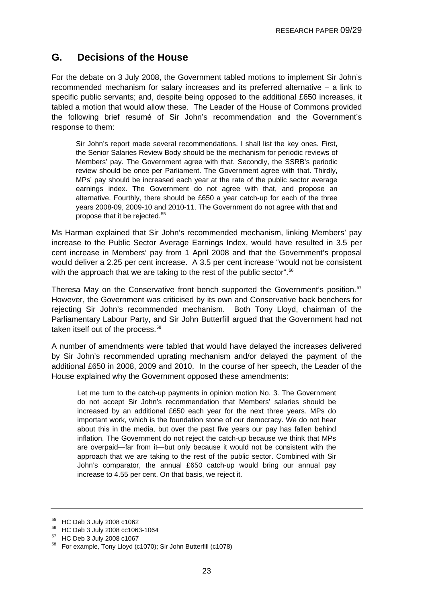### <span id="page-22-0"></span>**G. Decisions of the House**

For the debate on 3 July 2008, the Government tabled motions to implement Sir John's recommended mechanism for salary increases and its preferred alternative – a link to specific public servants; and, despite being opposed to the additional £650 increases, it tabled a motion that would allow these. The Leader of the House of Commons provided the following brief resumé of Sir John's recommendation and the Government's response to them:

Sir John's report made several recommendations. I shall list the key ones. First, the Senior Salaries Review Body should be the mechanism for periodic reviews of Members' pay. The Government agree with that. Secondly, the SSRB's periodic review should be once per Parliament. The Government agree with that. Thirdly, MPs' pay should be increased each year at the rate of the public sector average earnings index. The Government do not agree with that, and propose an alternative. Fourthly, there should be £650 a year catch-up for each of the three years 2008-09, 2009-10 and 2010-11. The Government do not agree with that and propose that it be rejected.<sup>[55](#page-22-0)</sup>

Ms Harman explained that Sir John's recommended mechanism, linking Members' pay increase to the Public Sector Average Earnings Index, would have resulted in 3.5 per cent increase in Members' pay from 1 April 2008 and that the Government's proposal would deliver a 2.25 per cent increase. A 3.5 per cent increase "would not be consistent with the approach that we are taking to the rest of the public sector".<sup>[56](#page-22-0)</sup>

Theresa May on the Conservative front bench supported the Government's position.<sup>[57](#page-22-0)</sup> However, the Government was criticised by its own and Conservative back benchers for rejecting Sir John's recommended mechanism. Both Tony Lloyd, chairman of the Parliamentary Labour Party, and Sir John Butterfill argued that the Government had not taken itself out of the process.<sup>[58](#page-22-0)</sup>

A number of amendments were tabled that would have delayed the increases delivered by Sir John's recommended uprating mechanism and/or delayed the payment of the additional £650 in 2008, 2009 and 2010. In the course of her speech, the Leader of the House explained why the Government opposed these amendments:

Let me turn to the catch-up payments in opinion motion No. 3. The Government do not accept Sir John's recommendation that Members' salaries should be increased by an additional £650 each year for the next three years. MPs do important work, which is the foundation stone of our democracy. We do not hear about this in the media, but over the past five years our pay has fallen behind inflation. The Government do not reject the catch-up because we think that MPs are overpaid—far from it—but only because it would not be consistent with the approach that we are taking to the rest of the public sector. Combined with Sir John's comparator, the annual £650 catch-up would bring our annual pay increase to 4.55 per cent. On that basis, we reject it.

<sup>55</sup> HC Deb 3 July 2008 c1062

<sup>56</sup> HC Deb 3 July 2008 cc1063-1064

<sup>57</sup> HC Deb 3 July 2008 c1067

<sup>58</sup> For example, Tony Lloyd (c1070); Sir John Butterfill (c1078)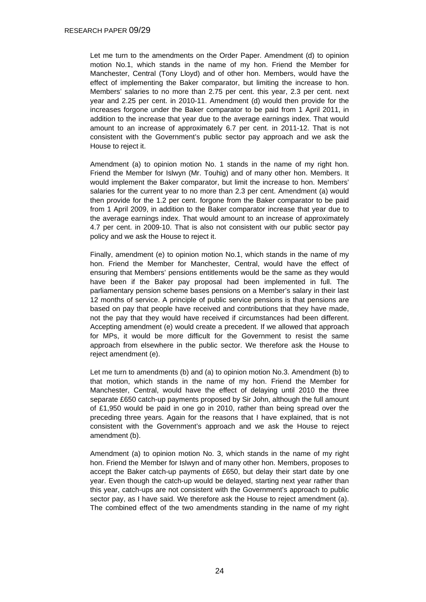Let me turn to the amendments on the Order Paper. Amendment (d) to opinion motion No.1, which stands in the name of my hon. Friend the Member for Manchester, Central (Tony Lloyd) and of other hon. Members, would have the effect of implementing the Baker comparator, but limiting the increase to hon. Members' salaries to no more than 2.75 per cent. this year, 2.3 per cent. next year and 2.25 per cent. in 2010-11. Amendment (d) would then provide for the increases forgone under the Baker comparator to be paid from 1 April 2011, in addition to the increase that year due to the average earnings index. That would amount to an increase of approximately 6.7 per cent. in 2011-12. That is not consistent with the Government's public sector pay approach and we ask the House to reject it.

Amendment (a) to opinion motion No. 1 stands in the name of my right hon. Friend the Member for Islwyn (Mr. Touhig) and of many other hon. Members. It would implement the Baker comparator, but limit the increase to hon. Members' salaries for the current year to no more than 2.3 per cent. Amendment (a) would then provide for the 1.2 per cent. forgone from the Baker comparator to be paid from 1 April 2009, in addition to the Baker comparator increase that year due to the average earnings index. That would amount to an increase of approximately 4.7 per cent. in 2009-10. That is also not consistent with our public sector pay policy and we ask the House to reject it.

Finally, amendment (e) to opinion motion No.1, which stands in the name of my hon. Friend the Member for Manchester, Central, would have the effect of ensuring that Members' pensions entitlements would be the same as they would have been if the Baker pay proposal had been implemented in full. The parliamentary pension scheme bases pensions on a Member's salary in their last 12 months of service. A principle of public service pensions is that pensions are based on pay that people have received and contributions that they have made, not the pay that they would have received if circumstances had been different. Accepting amendment (e) would create a precedent. If we allowed that approach for MPs, it would be more difficult for the Government to resist the same approach from elsewhere in the public sector. We therefore ask the House to reject amendment (e).

Let me turn to amendments (b) and (a) to opinion motion No.3. Amendment (b) to that motion, which stands in the name of my hon. Friend the Member for Manchester, Central, would have the effect of delaying until 2010 the three separate £650 catch-up payments proposed by Sir John, although the full amount of £1,950 would be paid in one go in 2010, rather than being spread over the preceding three years. Again for the reasons that I have explained, that is not consistent with the Government's approach and we ask the House to reject amendment (b).

Amendment (a) to opinion motion No. 3, which stands in the name of my right hon. Friend the Member for Islwyn and of many other hon. Members, proposes to accept the Baker catch-up payments of £650, but delay their start date by one year. Even though the catch-up would be delayed, starting next year rather than this year, catch-ups are not consistent with the Government's approach to public sector pay, as I have said. We therefore ask the House to reject amendment (a). The combined effect of the two amendments standing in the name of my right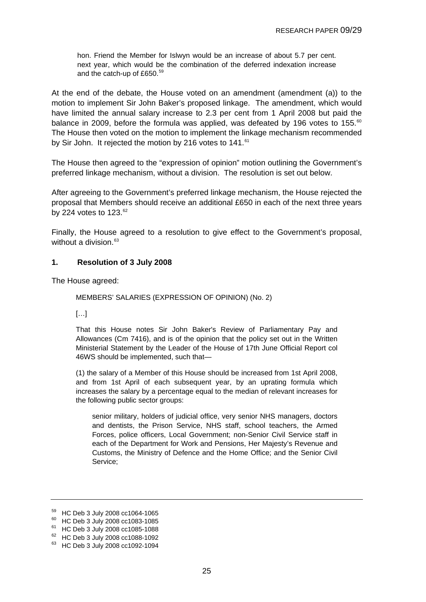<span id="page-24-0"></span>hon. Friend the Member for Islwyn would be an increase of about 5.7 per cent. next year, which would be the combination of the deferred indexation increase and the catch-up of £650.<sup>[59](#page-24-0)</sup>

At the end of the debate, the House voted on an amendment (amendment (a)) to the motion to implement Sir John Baker's proposed linkage. The amendment, which would have limited the annual salary increase to 2.3 per cent from 1 April 2008 but paid the balance in 2009, before the formula was applied, was defeated by 196 votes to 155.<sup>[60](#page-24-0)</sup> The House then voted on the motion to implement the linkage mechanism recommended by Sir John. It rejected the motion by 216 votes to 141.<sup>[61](#page-24-0)</sup>

The House then agreed to the "expression of opinion" motion outlining the Government's preferred linkage mechanism, without a division. The resolution is set out below.

After agreeing to the Government's preferred linkage mechanism, the House rejected the proposal that Members should receive an additional £650 in each of the next three years by 224 votes to  $123.^{62}$  $123.^{62}$  $123.^{62}$ 

Finally, the House agreed to a resolution to give effect to the Government's proposal, without a division. $63$ 

### **1. Resolution of 3 July 2008**

The House agreed:

```
MEMBERS' SALARIES (EXPRESSION OF OPINION) (No. 2)
```
[…]

That this House notes Sir John Baker's Review of Parliamentary Pay and Allowances (Cm 7416), and is of the opinion that the policy set out in the Written Ministerial Statement by the Leader of the House of 17th June Official Report col 46WS should be implemented, such that—

(1) the salary of a Member of this House should be increased from 1st April 2008, and from 1st April of each subsequent year, by an uprating formula which increases the salary by a percentage equal to the median of relevant increases for the following public sector groups:

senior military, holders of judicial office, very senior NHS managers, doctors and dentists, the Prison Service, NHS staff, school teachers, the Armed Forces, police officers, Local Government; non-Senior Civil Service staff in each of the Department for Work and Pensions, Her Majesty's Revenue and Customs, the Ministry of Defence and the Home Office; and the Senior Civil Service;

<sup>59</sup> HC Deb 3 July 2008 cc1064-1065

<sup>60</sup> HC Deb 3 July 2008 cc1083-1085

<sup>61</sup> HC Deb 3 July 2008 cc1085-1088

<sup>62</sup> HC Deb 3 July 2008 cc1088-1092

<sup>63</sup> HC Deb 3 July 2008 cc1092-1094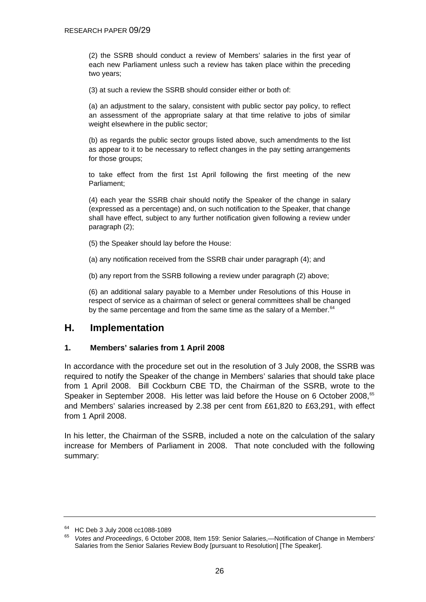<span id="page-25-0"></span>(2) the SSRB should conduct a review of Members' salaries in the first year of each new Parliament unless such a review has taken place within the preceding two years;

(3) at such a review the SSRB should consider either or both of:

(a) an adjustment to the salary, consistent with public sector pay policy, to reflect an assessment of the appropriate salary at that time relative to jobs of similar weight elsewhere in the public sector:

(b) as regards the public sector groups listed above, such amendments to the list as appear to it to be necessary to reflect changes in the pay setting arrangements for those groups;

to take effect from the first 1st April following the first meeting of the new Parliament;

(4) each year the SSRB chair should notify the Speaker of the change in salary (expressed as a percentage) and, on such notification to the Speaker, that change shall have effect, subject to any further notification given following a review under paragraph (2);

(5) the Speaker should lay before the House:

(a) any notification received from the SSRB chair under paragraph (4); and

(b) any report from the SSRB following a review under paragraph (2) above;

(6) an additional salary payable to a Member under Resolutions of this House in respect of service as a chairman of select or general committees shall be changed by the same percentage and from the same time as the salary of a Member.  $64$ 

### **H. Implementation**

### **1. Members' salaries from 1 April 2008**

In accordance with the procedure set out in the resolution of 3 July 2008, the SSRB was required to notify the Speaker of the change in Members' salaries that should take place from 1 April 2008. Bill Cockburn CBE TD, the Chairman of the SSRB, wrote to the Speaker in September 2008. His letter was laid before the House on 6 October 2008, $65$ and Members' salaries increased by 2.38 per cent from £61,820 to £63,291, with effect from 1 April 2008.

In his letter, the Chairman of the SSRB, included a note on the calculation of the salary increase for Members of Parliament in 2008. That note concluded with the following summary:

 $^{64}$  HC Deb 3 July 2008 cc1088-1089

<sup>65</sup> *Votes and Proceedings*, 6 October 2008, Item 159: Senior Salaries,—Notification of Change in Members' Salaries from the Senior Salaries Review Body [pursuant to Resolution] [The Speaker].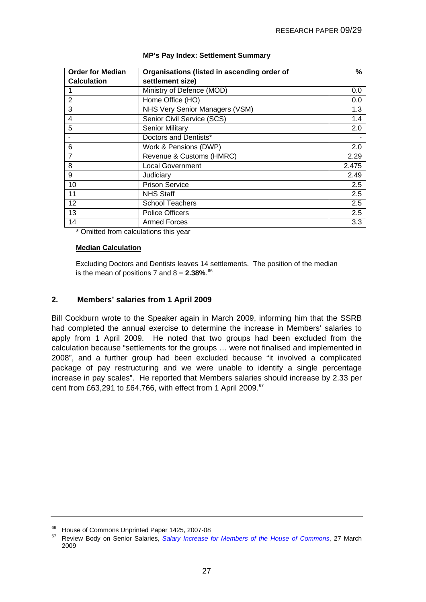<span id="page-26-0"></span>

| <b>Order for Median</b> | Organisations (listed in ascending order of                           | %     |
|-------------------------|-----------------------------------------------------------------------|-------|
| <b>Calculation</b>      | settlement size)                                                      |       |
|                         | Ministry of Defence (MOD)                                             | 0.0   |
| $\overline{2}$          | Home Office (HO)                                                      | 0.0   |
| 3                       | NHS Very Senior Managers (VSM)                                        | 1.3   |
| 4                       | Senior Civil Service (SCS)                                            | 1.4   |
| 5                       | <b>Senior Military</b>                                                | 2.0   |
|                         | Doctors and Dentists*                                                 |       |
| 6                       | Work & Pensions (DWP)                                                 | 2.0   |
| 7                       | Revenue & Customs (HMRC)                                              | 2.29  |
| 8                       | <b>Local Government</b>                                               | 2.475 |
| 9                       | Judiciary                                                             | 2.49  |
| 10                      | <b>Prison Service</b>                                                 | 2.5   |
| 11                      | <b>NHS Staff</b>                                                      | 2.5   |
| $12 \overline{ }$       | <b>School Teachers</b>                                                | 2.5   |
| 13                      | <b>Police Officers</b>                                                | 2.5   |
| 14<br>$\sim$ $\sim$     | <b>Armed Forces</b><br>$\mathbf{r}$ and $\mathbf{r}$ and $\mathbf{r}$ | 3.3   |

#### **MP's Pay Index: Settlement Summary**

\* Omitted from calculations this year

#### **Median Calculation**

Excluding Doctors and Dentists leaves 14 settlements. The position of the median is the mean of positions 7 and  $8 = 2.38\%$ .  $66$ 

#### **2. Members' salaries from 1 April 2009**

Bill Cockburn wrote to the Speaker again in March 2009, informing him that the SSRB had completed the annual exercise to determine the increase in Members' salaries to apply from 1 April 2009. He noted that two groups had been excluded from the calculation because "settlements for the groups … were not finalised and implemented in 2008", and a further group had been excluded because "it involved a complicated package of pay restructuring and we were unable to identify a single percentage increase in pay scales". He reported that Members salaries should increase by 2.33 per cent from £63,291 to £64,766, with effect from 1 April 2009.[67](#page-26-0)

<sup>&</sup>lt;sup>66</sup> House of Commons Unprinted Paper 1425, 2007-08

<sup>67</sup> Review Body on Senior Salaries, *[Salary Increase for Members of the House of Commons](http://www.ome.uk.com/downloads/speaker3.pdf)*, 27 March 2009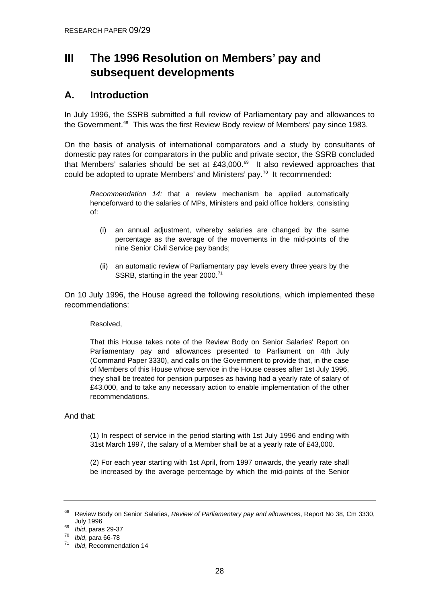# <span id="page-27-0"></span>**III The 1996 Resolution on Members' pay and subsequent developments**

### **A. Introduction**

In July 1996, the SSRB submitted a full review of Parliamentary pay and allowances to the Government.<sup>[68](#page-27-0)</sup> This was the first Review Body review of Members' pay since 1983.

On the basis of analysis of international comparators and a study by consultants of domestic pay rates for comparators in the public and private sector, the SSRB concluded that Members' salaries should be set at £43,000. $^{69}$  $^{69}$  $^{69}$  It also reviewed approaches that could be adopted to uprate Members' and Ministers' pay.<sup>[70](#page-27-0)</sup> It recommended:

*Recommendation 14:* that a review mechanism be applied automatically henceforward to the salaries of MPs, Ministers and paid office holders, consisting of:

- (i) an annual adjustment, whereby salaries are changed by the same percentage as the average of the movements in the mid-points of the nine Senior Civil Service pay bands;
- (ii) an automatic review of Parliamentary pay levels every three years by the SSRB, starting in the year 2000.<sup>[71](#page-27-0)</sup>

On 10 July 1996, the House agreed the following resolutions, which implemented these recommendations:

Resolved,

That this House takes note of the Review Body on Senior Salaries' Report on Parliamentary pay and allowances presented to Parliament on 4th July (Command Paper 3330), and calls on the Government to provide that, in the case of Members of this House whose service in the House ceases after 1st July 1996, they shall be treated for pension purposes as having had a yearly rate of salary of £43,000, and to take any necessary action to enable implementation of the other recommendations.

### And that:

(1) In respect of service in the period starting with 1st July 1996 and ending with 31st March 1997, the salary of a Member shall be at a yearly rate of £43,000.

(2) For each year starting with 1st April, from 1997 onwards, the yearly rate shall be increased by the average percentage by which the mid-points of the Senior

<sup>68</sup> Review Body on Senior Salaries, *Review of Parliamentary pay and allowances*, Report No 38, Cm 3330, July 1996 69 *Ibid*, paras 29-37 70 *Ibid*, para 66-78 71 *Ibid*, Recommendation 14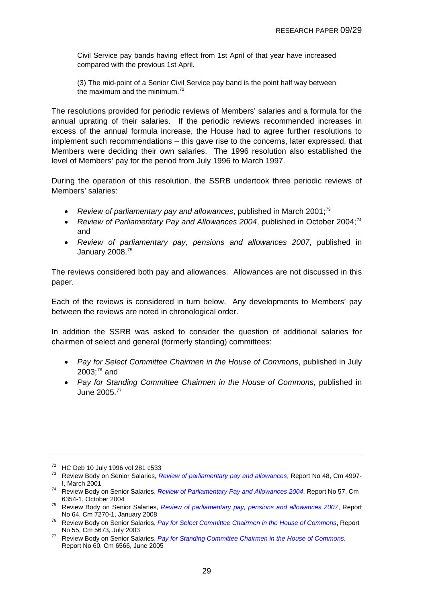<span id="page-28-0"></span>Civil Service pay bands having effect from 1st April of that year have increased compared with the previous 1st April.

(3) The mid-point of a Senior Civil Service pay band is the point half way between the maximum and the minimum  $72$ 

The resolutions provided for periodic reviews of Members' salaries and a formula for the annual uprating of their salaries. If the periodic reviews recommended increases in excess of the annual formula increase, the House had to agree further resolutions to implement such recommendations – this gave rise to the concerns, later expressed, that Members were deciding their own salaries. The 1996 resolution also established the level of Members' pay for the period from July 1996 to March 1997.

During the operation of this resolution, the SSRB undertook three periodic reviews of Members' salaries:

- *Review of parliamentary pay and allowances*, published in March 2001;[73](#page-28-0)
- *Review of Parliamentary Pay and Allowances 2004*, published in October 2004;<sup>[74](#page-28-0)</sup> and
- *Review of parliamentary pay, pensions and allowances 2007*, published in January 2008.[75](#page-28-0)

The reviews considered both pay and allowances. Allowances are not discussed in this paper.

Each of the reviews is considered in turn below. Any developments to Members' pay between the reviews are noted in chronological order.

In addition the SSRB was asked to consider the question of additional salaries for chairmen of select and general (formerly standing) committees:

- *Pay for Select Committee Chairmen in the House of Commons*, published in July  $2003$ ; $^{76}$  $^{76}$  $^{76}$  and
- *Pay for Standing Committee Chairmen in the House of Commons*, published in June 2005.[77](#page-28-0)

<sup>72</sup> HC Deb 10 July 1996 vol 281 c533

<sup>73</sup> Review Body on Senior Salaries, *[Review of parliamentary pay and allowances](http://www.ome.uk.com/downloads/volume1.pdf)*, Report No 48, Cm 4997-

I, March 2001 74 Review Body on Senior Salaries, *[Review of Parliamentary Pay and Allowances 2004](http://www.ome.uk.com/downloads/SSRB%20pay%20review%20Cm%206354%20part%201.pdf)*, Report No 57, Cm

<sup>6354-1,</sup> October 2004 75 Review Body on Senior Salaries, *[Review of parliamentary pay, pensions and allowances 2007](http://www.ome.uk.com/downloads/SSRB%20pay%20review%20Cm%206354%20part%201.pdf)*, Report

<sup>&</sup>lt;sup>76</sup> Review Body on Senior Salaries, *[Pay for Select Committee Chairmen in the House of Commons](http://www.ome.uk.com/downloads/Report%20on%20Select%20Committee%20Chairmen.pdf)*, Report No 55. Cm 5673. July 2003

<sup>&</sup>lt;sup>77</sup> Review Body on Senior Salaries, *[Pay for Standing Committee Chairmen in the House of Commons](http://www.ome.uk.com/downloads/Senior%20Salaries%20No%2060.pdf)*, Report No 60, Cm 6566, June 2005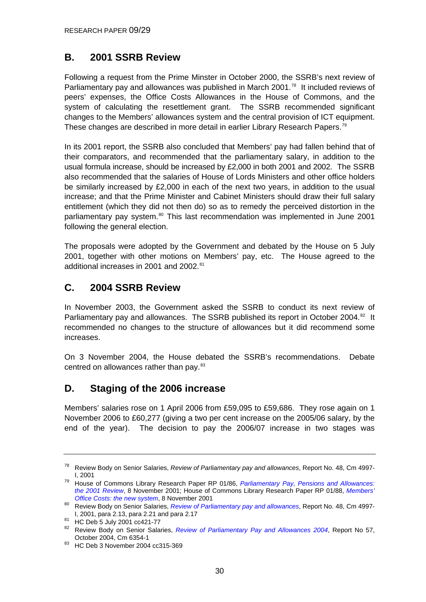### <span id="page-29-0"></span>**B. 2001 SSRB Review**

Following a request from the Prime Minster in October 2000, the SSRB's next review of Parliamentary pay and allowances was published in March 2001.<sup>[78](#page-29-0)</sup> It included reviews of peers' expenses, the Office Costs Allowances in the House of Commons, and the system of calculating the resettlement grant. The SSRB recommended significant changes to the Members' allowances system and the central provision of ICT equipment. These changes are described in more detail in earlier Library Research Papers.[79](#page-29-0)

In its 2001 report, the SSRB also concluded that Members' pay had fallen behind that of their comparators, and recommended that the parliamentary salary, in addition to the usual formula increase, should be increased by £2,000 in both 2001 and 2002. The SSRB also recommended that the salaries of House of Lords Ministers and other office holders be similarly increased by £2,000 in each of the next two years, in addition to the usual increase; and that the Prime Minister and Cabinet Ministers should draw their full salary entitlement (which they did not then do) so as to remedy the perceived distortion in the parliamentary pay system.<sup>[80](#page-29-0)</sup> This last recommendation was implemented in June 2001 following the general election.

The proposals were adopted by the Government and debated by the House on 5 July 2001, together with other motions on Members' pay, etc. The House agreed to the additional increases in 2001 and 2002.<sup>[81](#page-29-0)</sup>

### **C. 2004 SSRB Review**

In November 2003, the Government asked the SSRB to conduct its next review of Parliamentary pay and allowances. The SSRB published its report in October 2004.<sup>[82](#page-29-0)</sup> It recommended no changes to the structure of allowances but it did recommend some increases.

On 3 November 2004, the House debated the SSRB's recommendations. Debate centred on allowances rather than pay.<sup>[83](#page-29-0)</sup>

### **D. Staging of the 2006 increase**

Members' salaries rose on 1 April 2006 from £59,095 to £59,686. They rose again on 1 November 2006 to £60,277 (giving a two per cent increase on the 2005/06 salary, by the end of the year). The decision to pay the 2006/07 increase in two stages was

<sup>78</sup> Review Body on Senior Salaries, *Review of Parliamentary pay and allowances*, Report No. 48, Cm 4997-

I, 2001 79 House of Commons Library Research Paper RP 01/86, *[Parliamentary Pay, Pensions and Allowances:](http://www.parliament.uk/commons/lib/research/rp2001/rp01-086.pdf)  [the 2001 Review](http://www.parliament.uk/commons/lib/research/rp2001/rp01-086.pdf)*, 8 November 2001; House of Commons Library Research Paper RP 01/88, *[Members'](http://www.parliament.uk/commons/lib/research/rp2001/rp01-088.pdf)* 

*Office Costs: the new system*[,](http://www.parliament.uk/commons/lib/research/rp2001/rp01-088.pdf) 8 November 2001<br><sup>80</sup> Review Body on Senior Salaries, *[Review of Parliamentary pay and allowances](http://www.ome.uk.com/downloads/volume1.pdf)*, Report No. 48, Cm 4997-I, 2001, para 2.13, para 2.21 and para 2.17 81 HC Deb 5 July 2001 cc421-77

<sup>82</sup> Review Body on Senior Salaries, *[Review of Parliamentary Pay and Allowances 2004](http://www.ome.uk.com/downloads/SSRB%20pay%20review%20Cm%206354%20part%201.pdf)*, Report No 57,

October 2004, Cm 6354-1<br><sup>83</sup> HC Deb 3 November 2004 cc315-369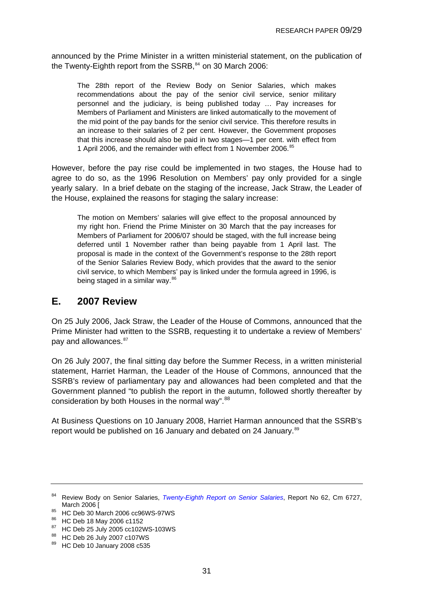<span id="page-30-0"></span>announced by the Prime Minister in a written ministerial statement, on the publication of the Twenty-Eighth report from the  $SSRB$ ,  $84$  on 30 March 2006:

The 28th report of the Review Body on Senior Salaries, which makes recommendations about the pay of the senior civil service, senior military personnel and the judiciary, is being published today … Pay increases for Members of Parliament and Ministers are linked automatically to the movement of the mid point of the pay bands for the senior civil service. This therefore results in an increase to their salaries of 2 per cent. However, the Government proposes that this increase should also be paid in two stages—1 per cent. with effect from 1 April 2006, and the remainder with effect from 1 November 2006.<sup>[85](#page-30-0)</sup>

However, before the pay rise could be implemented in two stages, the House had to agree to do so, as the 1996 Resolution on Members' pay only provided for a single yearly salary. In a brief debate on the staging of the increase, Jack Straw, the Leader of the House, explained the reasons for staging the salary increase:

The motion on Members' salaries will give effect to the proposal announced by my right hon. Friend the Prime Minister on 30 March that the pay increases for Members of Parliament for 2006/07 should be staged, with the full increase being deferred until 1 November rather than being payable from 1 April last. The proposal is made in the context of the Government's response to the 28th report of the Senior Salaries Review Body, which provides that the award to the senior civil service, to which Members' pay is linked under the formula agreed in 1996, is being staged in a similar way.<sup>[86](#page-30-0)</sup>

### **E. 2007 Review**

On 25 July 2006, Jack Straw, the Leader of the House of Commons, announced that the Prime Minister had written to the SSRB, requesting it to undertake a review of Members' pay and allowances.<sup>[87](#page-30-0)</sup>

On 26 July 2007, the final sitting day before the Summer Recess, in a written ministerial statement, Harriet Harman, the Leader of the House of Commons, announced that the SSRB's review of parliamentary pay and allowances had been completed and that the Government planned "to publish the report in the autumn, followed shortly thereafter by consideration by both Houses in the normal way".<sup>[88](#page-30-0)</sup>

At Business Questions on 10 January 2008, Harriet Harman announced that the SSRB's report would be published on 16 January and debated on 24 January.<sup>[89](#page-30-0)</sup>

<sup>84</sup> Review Body on Senior Salaries, *[Twenty-Eighth Report on Senior Salaries](http://www.ome.uk.com/downloads/28th%20Report%20on%20Senior%20Salaries%20-%202006.pdf)*, Report No 62, Cm 6727,

March 2006 [<br><sup>85</sup> HC Deb 30 March 2006 cc96WS-97WS

<sup>86</sup> HC Deb 18 May 2006 c1152

<sup>87</sup> HC Deb 25 July 2005 cc102WS-103WS

<sup>88</sup> HC Deb 26 July 2007 c107WS

<sup>89</sup> HC Deb 10 January 2008 c535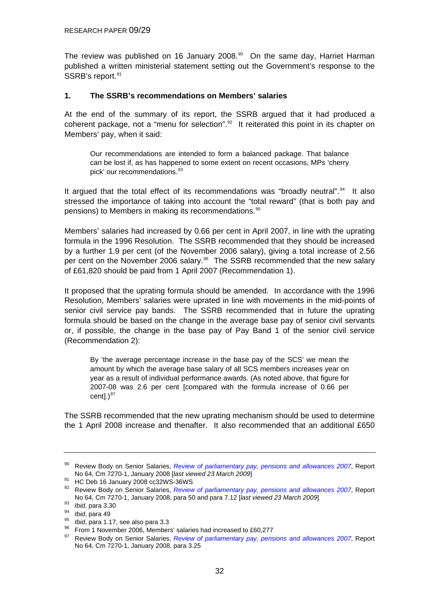<span id="page-31-0"></span>The review was published on 16 January 2008.<sup>[90](#page-31-0)</sup> On the same day, Harriet Harman published a written ministerial statement setting out the Government's response to the SSRB's report.<sup>[91](#page-31-0)</sup>

#### **1. The SSRB's recommendations on Members' salaries**

At the end of the summary of its report, the SSRB argued that it had produced a coherent package, not a "menu for selection".<sup>[92](#page-31-0)</sup> It reiterated this point in its chapter on Members' pay, when it said:

Our recommendations are intended to form a balanced package. That balance can be lost if, as has happened to some extent on recent occasions, MPs 'cherry pick' our recommendations.<sup>[93](#page-31-0)</sup>

It argued that the total effect of its recommendations was "broadly neutral".<sup>[94](#page-31-0)</sup> It also stressed the importance of taking into account the "total reward" (that is both pay and pensions) to Members in making its recommendations.[95](#page-31-0)

Members' salaries had increased by 0.66 per cent in April 2007, in line with the uprating formula in the 1996 Resolution. The SSRB recommended that they should be increased by a further 1.9 per cent (of the November 2006 salary), giving a total increase of 2.56 per cent on the November 2006 salary.<sup>[96](#page-31-0)</sup> The SSRB recommended that the new salary of £61,820 should be paid from 1 April 2007 (Recommendation 1).

It proposed that the uprating formula should be amended. In accordance with the 1996 Resolution, Members' salaries were uprated in line with movements in the mid-points of senior civil service pay bands. The SSRB recommended that in future the uprating formula should be based on the change in the average base pay of senior civil servants or, if possible, the change in the base pay of Pay Band 1 of the senior civil service (Recommendation 2):

By 'the average percentage increase in the base pay of the SCS' we mean the amount by which the average base salary of all SCS members increases year on year as a result of individual performance awards. (As noted above, that figure for 2007-08 was 2.6 per cent [compared with the formula increase of 0.66 per centl. $)^{97}$  $)^{97}$  $)^{97}$ 

The SSRB recommended that the new uprating mechanism should be used to determine the 1 April 2008 increase and thenafter. It also recommended that an additional £650

<sup>90</sup> Review Body on Senior Salaries, *[Review of parliamentary pay, pensions and allowances 2007](http://www.ome.uk.com/downloads/Review%20of%20Parliamentary%20pay%202007%20volume%201.pdf.pdf)*, Report

<sup>&</sup>lt;sup>91</sup> HC Deb 16 January 2008 cc32WS-36WS

<sup>92</sup> Review Body on Senior Salaries, *[Review of parliamentary pay, pensions and allowances 2007](http://www.ome.uk.com/downloads/Review%20of%20Parliamentary%20pay%202007%20volume%201.pdf.pdf)*, Report No 64, Cm 7270-1, January 2008, para 50 and para 7.12 [*last viewed 23 March 2009*]<br> *bid*, para 3.30<br> *bid*, para 49<br> *bid*, para 1.17, see also para 3.3<br>
<sup>96</sup> From 1 November 2006, Members' salaries had increased to £60

<sup>97</sup> Review Body on Senior Salaries, *[Review of parliamentary pay, pensions and allowances 2007](http://www.ome.uk.com/downloads/Review%20of%20Parliamentary%20pay%202007%20volume%201.pdf.pdf)*, Report No 64, Cm 7270-1, January 2008, para 3.25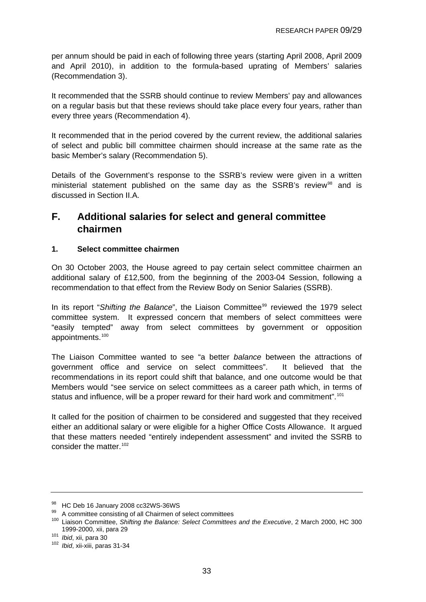<span id="page-32-0"></span>per annum should be paid in each of following three years (starting April 2008, April 2009 and April 2010), in addition to the formula-based uprating of Members' salaries (Recommendation 3).

It recommended that the SSRB should continue to review Members' pay and allowances on a regular basis but that these reviews should take place every four years, rather than every three years (Recommendation 4).

It recommended that in the period covered by the current review, the additional salaries of select and public bill committee chairmen should increase at the same rate as the basic Member's salary (Recommendation 5).

Details of the Government's response to the SSRB's review were given in a written ministerial statement published on the same day as the SSRB's review<sup>[98](#page-32-0)</sup> and is discussed in Section II.A.

### **F. Additional salaries for select and general committee chairmen**

### **1. Select committee chairmen**

On 30 October 2003, the House agreed to pay certain select committee chairmen an additional salary of £12,500, from the beginning of the 2003-04 Session, following a recommendation to that effect from the Review Body on Senior Salaries (SSRB).

In its report "Shifting the Balance", the Liaison Committee<sup>[99](#page-32-0)</sup> reviewed the 1979 select committee system. It expressed concern that members of select committees were "easily tempted" away from select committees by government or opposition appointments.[100](#page-32-0)

The Liaison Committee wanted to see "a better *balance* between the attractions of government office and service on select committees". It believed that the recommendations in its report could shift that balance, and one outcome would be that Members would "see service on select committees as a career path which, in terms of status and influence, will be a proper reward for their hard work and commitment".<sup>[101](#page-32-0)</sup>

It called for the position of chairmen to be considered and suggested that they received either an additional salary or were eligible for a higher Office Costs Allowance. It argued that these matters needed "entirely independent assessment" and invited the SSRB to consider the matter.<sup>[102](#page-32-0)</sup>

<sup>98</sup> HC Deb 16 January 2008 cc32WS-36WS

<sup>99</sup> A committee consisting of all Chairmen of select committees

<sup>100</sup> Liaison Committee, *Shifting the Balance: Select Committees and the Executive*, 2 March 2000, HC 300

<sup>1999-2000,</sup> xii, para 29 101 *Ibid*, xii, para 30 102 *Ibid*, xii-xiii, paras 31-34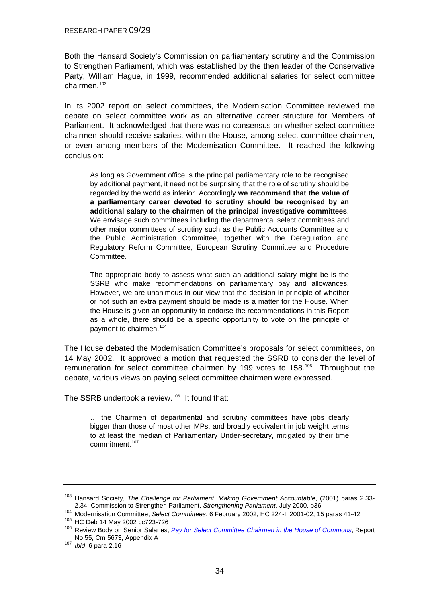<span id="page-33-0"></span>Both the Hansard Society's Commission on parliamentary scrutiny and the Commission to Strengthen Parliament, which was established by the then leader of the Conservative Party, William Hague, in 1999, recommended additional salaries for select committee chairmen.[103](#page-33-0)

In its 2002 report on select committees, the Modernisation Committee reviewed the debate on select committee work as an alternative career structure for Members of Parliament. It acknowledged that there was no consensus on whether select committee chairmen should receive salaries, within the House, among select committee chairmen, or even among members of the Modernisation Committee. It reached the following conclusion:

As long as Government office is the principal parliamentary role to be recognised by additional payment, it need not be surprising that the role of scrutiny should be regarded by the world as inferior. Accordingly **we recommend that the value of a parliamentary career devoted to scrutiny should be recognised by an additional salary to the chairmen of the principal investigative committees**. We envisage such committees including the departmental select committees and other major committees of scrutiny such as the Public Accounts Committee and the Public Administration Committee, together with the Deregulation and Regulatory Reform Committee, European Scrutiny Committee and Procedure Committee.

The appropriate body to assess what such an additional salary might be is the SSRB who make recommendations on parliamentary pay and allowances. However, we are unanimous in our view that the decision in principle of whether or not such an extra payment should be made is a matter for the House. When the House is given an opportunity to endorse the recommendations in this Report as a whole, there should be a specific opportunity to vote on the principle of payment to chairmen.<sup>[104](#page-33-0)</sup>

The House debated the Modernisation Committee's proposals for select committees, on 14 May 2002. It approved a motion that requested the SSRB to consider the level of remuneration for select committee chairmen by 199 votes to 158.<sup>[105](#page-33-0)</sup> Throughout the debate, various views on paying select committee chairmen were expressed.

The SSRB undertook a review.<sup>[106](#page-33-0)</sup> It found that:

… the Chairmen of departmental and scrutiny committees have jobs clearly bigger than those of most other MPs, and broadly equivalent in job weight terms to at least the median of Parliamentary Under-secretary, mitigated by their time commitment<sup>[107](#page-33-0)</sup>

<sup>103</sup> Hansard Society, *The Challenge for Parliament: Making Government Accountable*, (2001) paras 2.33- 2.34; Commission to Strengthen Parliament, *Strengthening Parliament*, July 2000, p36<br><sup>104</sup> Modernisation Committee, *Select Committees*, 6 February 2002, HC 224-I, 2001-02, 15 paras 41-42<br><sup>105</sup> HC Deb 14 May 2002 cc723-72

No 55, Cm 5673, Appendix A 107 *Ibid*, 6 para 2.16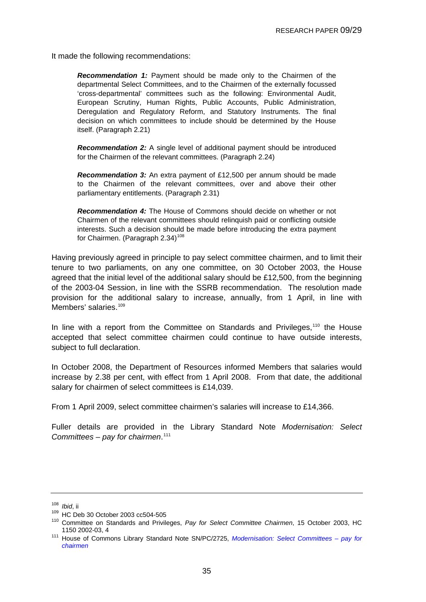<span id="page-34-0"></span>It made the following recommendations:

*Recommendation 1:* Payment should be made only to the Chairmen of the departmental Select Committees, and to the Chairmen of the externally focussed 'cross-departmental' committees such as the following: Environmental Audit, European Scrutiny, Human Rights, Public Accounts, Public Administration, Deregulation and Regulatory Reform, and Statutory Instruments. The final decision on which committees to include should be determined by the House itself. (Paragraph 2.21)

**Recommendation 2:** A single level of additional payment should be introduced for the Chairmen of the relevant committees. (Paragraph 2.24)

*Recommendation 3:* An extra payment of £12,500 per annum should be made to the Chairmen of the relevant committees, over and above their other parliamentary entitlements. (Paragraph 2.31)

*Recommendation 4:* The House of Commons should decide on whether or not Chairmen of the relevant committees should relinquish paid or conflicting outside interests. Such a decision should be made before introducing the extra payment for Chairmen. (Paragraph 2.34)<sup>[108](#page-34-0)</sup>

Having previously agreed in principle to pay select committee chairmen, and to limit their tenure to two parliaments, on any one committee, on 30 October 2003, the House agreed that the initial level of the additional salary should be £12,500, from the beginning of the 2003-04 Session, in line with the SSRB recommendation. The resolution made provision for the additional salary to increase, annually, from 1 April, in line with Members' salaries.<sup>[109](#page-34-0)</sup>

In line with a report from the Committee on Standards and Privileges,<sup>[110](#page-34-0)</sup> the House accepted that select committee chairmen could continue to have outside interests, subject to full declaration.

In October 2008, the Department of Resources informed Members that salaries would increase by 2.38 per cent, with effect from 1 April 2008. From that date, the additional salary for chairmen of select committees is £14,039.

From 1 April 2009, select committee chairmen's salaries will increase to £14,366.

Fuller details are provided in the Library Standard Note *Modernisation: Select Committees – pay for chairmen*. [111](#page-34-0)

<sup>108</sup> *Ibid*, ii<br><sup>109</sup> HC Deb 30 October 2003 cc504-505<br><sup>110</sup> Committee on Standards and Privileges, *Pay for Select Committee Chairmen*, 15 October 2003, HC 1150 2002-03, 4 111 House of Commons Library Standard Note SN/PC/2725, *[Modernisation: Select Committees – pay for](http://www.parliament.uk/commons/lib/research/briefings/snpc-02725.pdf)* 

*[chairmen](http://www.parliament.uk/commons/lib/research/briefings/snpc-02725.pdf)*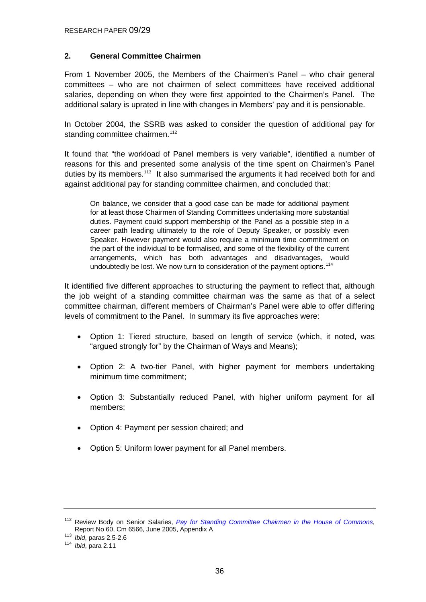### <span id="page-35-0"></span>**2. General Committee Chairmen**

From 1 November 2005, the Members of the Chairmen's Panel – who chair general committees – who are not chairmen of select committees have received additional salaries, depending on when they were first appointed to the Chairmen's Panel. The additional salary is uprated in line with changes in Members' pay and it is pensionable.

In October 2004, the SSRB was asked to consider the question of additional pay for standing committee chairmen.<sup>[112](#page-35-0)</sup>

It found that "the workload of Panel members is very variable", identified a number of reasons for this and presented some analysis of the time spent on Chairmen's Panel duties by its members.<sup>[113](#page-35-0)</sup> It also summarised the arguments it had received both for and against additional pay for standing committee chairmen, and concluded that:

On balance, we consider that a good case can be made for additional payment for at least those Chairmen of Standing Committees undertaking more substantial duties. Payment could support membership of the Panel as a possible step in a career path leading ultimately to the role of Deputy Speaker, or possibly even Speaker. However payment would also require a minimum time commitment on the part of the individual to be formalised, and some of the flexibility of the current arrangements, which has both advantages and disadvantages, would undoubtedly be lost. We now turn to consideration of the payment options.<sup>[114](#page-35-0)</sup>

It identified five different approaches to structuring the payment to reflect that, although the job weight of a standing committee chairman was the same as that of a select committee chairman, different members of Chairman's Panel were able to offer differing levels of commitment to the Panel. In summary its five approaches were:

- Option 1: Tiered structure, based on length of service (which, it noted, was "argued strongly for" by the Chairman of Ways and Means);
- Option 2: A two-tier Panel, with higher payment for members undertaking minimum time commitment;
- Option 3: Substantially reduced Panel, with higher uniform payment for all members;
- Option 4: Payment per session chaired; and
- Option 5: Uniform lower payment for all Panel members.

<sup>112</sup> Review Body on Senior Salaries, *[Pay for Standing Committee Chairmen in the House of Commons](http://www.ome.uk.com/downloads/Senior%20Salaries%20No%2060.pdf)*, Report No 60, Cm 6566, June 2005, Appendix A 113 *Ibid*, paras 2.5-2.6 114 *Ibid*, para 2.11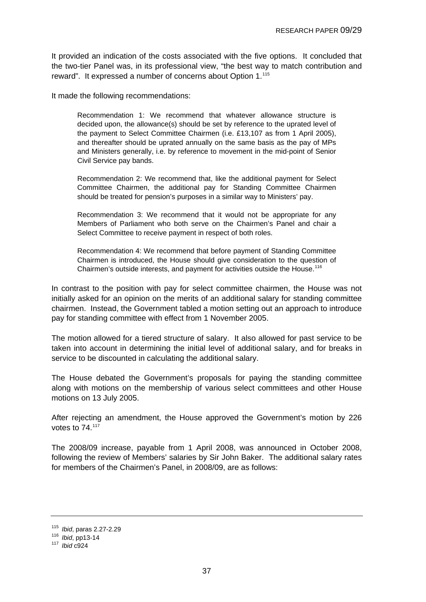<span id="page-36-0"></span>It provided an indication of the costs associated with the five options. It concluded that the two-tier Panel was, in its professional view, "the best way to match contribution and reward". It expressed a number of concerns about Option 1.<sup>[115](#page-36-0)</sup>

It made the following recommendations:

Recommendation 1: We recommend that whatever allowance structure is decided upon, the allowance(s) should be set by reference to the uprated level of the payment to Select Committee Chairmen (i.e. £13,107 as from 1 April 2005), and thereafter should be uprated annually on the same basis as the pay of MPs and Ministers generally, i.e. by reference to movement in the mid-point of Senior Civil Service pay bands.

Recommendation 2: We recommend that, like the additional payment for Select Committee Chairmen, the additional pay for Standing Committee Chairmen should be treated for pension's purposes in a similar way to Ministers' pay.

Recommendation 3: We recommend that it would not be appropriate for any Members of Parliament who both serve on the Chairmen's Panel and chair a Select Committee to receive payment in respect of both roles.

Recommendation 4: We recommend that before payment of Standing Committee Chairmen is introduced, the House should give consideration to the question of Chairmen's outside interests, and payment for activities outside the House.<sup>[116](#page-36-0)</sup>

In contrast to the position with pay for select committee chairmen, the House was not initially asked for an opinion on the merits of an additional salary for standing committee chairmen. Instead, the Government tabled a motion setting out an approach to introduce pay for standing committee with effect from 1 November 2005.

The motion allowed for a tiered structure of salary. It also allowed for past service to be taken into account in determining the initial level of additional salary, and for breaks in service to be discounted in calculating the additional salary.

The House debated the Government's proposals for paying the standing committee along with motions on the membership of various select committees and other House motions on 13 July 2005.

After rejecting an amendment, the House approved the Government's motion by 226 votes to 74.[117](#page-36-0)

The 2008/09 increase, payable from 1 April 2008, was announced in October 2008, following the review of Members' salaries by Sir John Baker. The additional salary rates for members of the Chairmen's Panel, in 2008/09, are as follows:

<sup>115</sup>*Ibid*, paras 2.27-2.29 116 *Ibid*, pp13-14 117 *Ibid* c924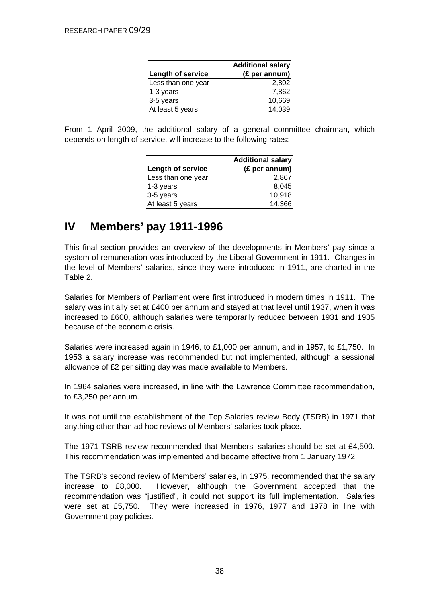| <b>Additional salary</b> |               |
|--------------------------|---------------|
| <b>Length of service</b> | (£ per annum) |
| Less than one year       | 2.802         |
| 1-3 years                | 7.862         |
| 3-5 years                | 10,669        |
| At least 5 years         | 14,039        |

<span id="page-37-0"></span>From 1 April 2009, the additional salary of a general committee chairman, which depends on length of service, will increase to the following rates:

|                    | <b>Additional salary</b> |
|--------------------|--------------------------|
| Length of service  | (£ per annum)            |
| Less than one year | 2,867                    |
| 1-3 years          | 8,045                    |
| 3-5 years          | 10,918                   |
| At least 5 years   | 14,366                   |

# **IV Members' pay 1911-1996**

This final section provides an overview of the developments in Members' pay since a system of remuneration was introduced by the Liberal Government in 1911. Changes in the level of Members' salaries, since they were introduced in 1911, are charted in the Table 2.

Salaries for Members of Parliament were first introduced in modern times in 1911. The salary was initially set at £400 per annum and stayed at that level until 1937, when it was increased to £600, although salaries were temporarily reduced between 1931 and 1935 because of the economic crisis.

Salaries were increased again in 1946, to £1,000 per annum, and in 1957, to £1,750. In 1953 a salary increase was recommended but not implemented, although a sessional allowance of £2 per sitting day was made available to Members.

In 1964 salaries were increased, in line with the Lawrence Committee recommendation, to £3,250 per annum.

It was not until the establishment of the Top Salaries review Body (TSRB) in 1971 that anything other than ad hoc reviews of Members' salaries took place.

The 1971 TSRB review recommended that Members' salaries should be set at £4,500. This recommendation was implemented and became effective from 1 January 1972.

The TSRB's second review of Members' salaries, in 1975, recommended that the salary increase to £8,000. However, although the Government accepted that the recommendation was "justified", it could not support its full implementation. Salaries were set at £5,750. They were increased in 1976, 1977 and 1978 in line with Government pay policies.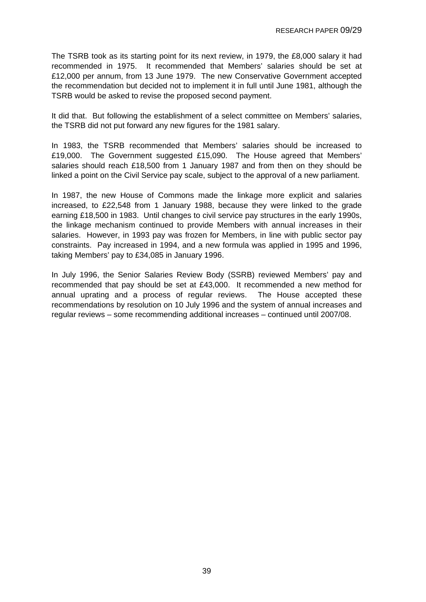The TSRB took as its starting point for its next review, in 1979, the £8,000 salary it had recommended in 1975. It recommended that Members' salaries should be set at £12,000 per annum, from 13 June 1979. The new Conservative Government accepted the recommendation but decided not to implement it in full until June 1981, although the TSRB would be asked to revise the proposed second payment.

It did that. But following the establishment of a select committee on Members' salaries, the TSRB did not put forward any new figures for the 1981 salary.

In 1983, the TSRB recommended that Members' salaries should be increased to £19,000. The Government suggested £15,090. The House agreed that Members' salaries should reach £18,500 from 1 January 1987 and from then on they should be linked a point on the Civil Service pay scale, subject to the approval of a new parliament.

In 1987, the new House of Commons made the linkage more explicit and salaries increased, to £22,548 from 1 January 1988, because they were linked to the grade earning £18,500 in 1983. Until changes to civil service pay structures in the early 1990s, the linkage mechanism continued to provide Members with annual increases in their salaries. However, in 1993 pay was frozen for Members, in line with public sector pay constraints. Pay increased in 1994, and a new formula was applied in 1995 and 1996, taking Members' pay to £34,085 in January 1996.

In July 1996, the Senior Salaries Review Body (SSRB) reviewed Members' pay and recommended that pay should be set at £43,000. It recommended a new method for annual uprating and a process of regular reviews. The House accepted these recommendations by resolution on 10 July 1996 and the system of annual increases and regular reviews – some recommending additional increases – continued until 2007/08.